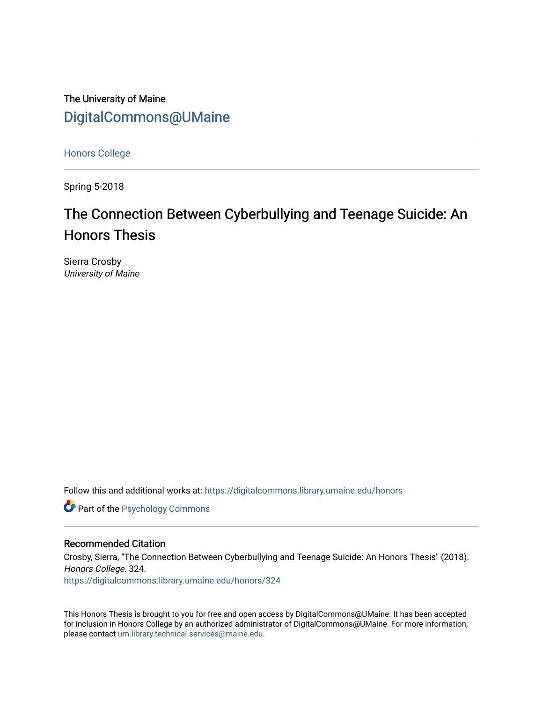The University of Maine [DigitalCommons@UMaine](https://digitalcommons.library.umaine.edu/)

[Honors College](https://digitalcommons.library.umaine.edu/honors)

Spring 5-2018

# The Connection Between Cyberbullying and Teenage Suicide: An Honors Thesis

Sierra Crosby University of Maine

Follow this and additional works at: [https://digitalcommons.library.umaine.edu/honors](https://digitalcommons.library.umaine.edu/honors?utm_source=digitalcommons.library.umaine.edu%2Fhonors%2F324&utm_medium=PDF&utm_campaign=PDFCoverPages) 

**Part of the Psychology Commons** 

#### Recommended Citation

Crosby, Sierra, "The Connection Between Cyberbullying and Teenage Suicide: An Honors Thesis" (2018). Honors College. 324.

[https://digitalcommons.library.umaine.edu/honors/324](https://digitalcommons.library.umaine.edu/honors/324?utm_source=digitalcommons.library.umaine.edu%2Fhonors%2F324&utm_medium=PDF&utm_campaign=PDFCoverPages) 

This Honors Thesis is brought to you for free and open access by DigitalCommons@UMaine. It has been accepted for inclusion in Honors College by an authorized administrator of DigitalCommons@UMaine. For more information, please contact [um.library.technical.services@maine.edu.](mailto:um.library.technical.services@maine.edu)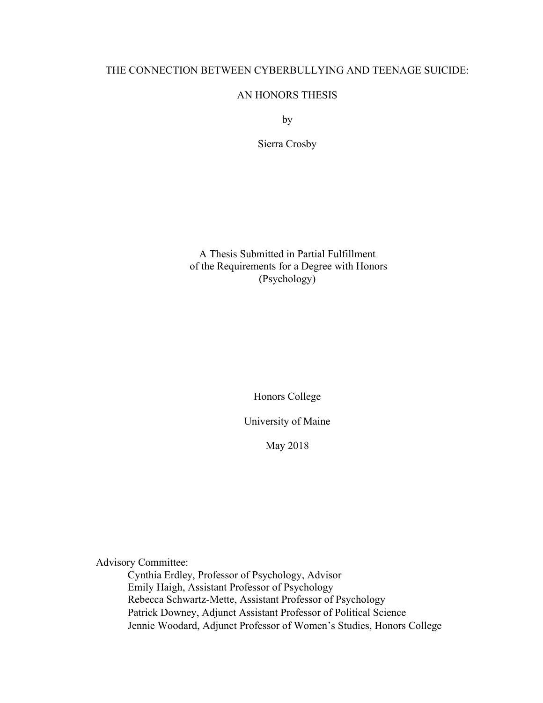# THE CONNECTION BETWEEN CYBERBULLYING AND TEENAGE SUICIDE:

# AN HONORS THESIS

by

Sierra Crosby

A Thesis Submitted in Partial Fulfillment of the Requirements for a Degree with Honors (Psychology)

Honors College

University of Maine

May 2018

Advisory Committee:

Cynthia Erdley, Professor of Psychology, Advisor Emily Haigh, Assistant Professor of Psychology Rebecca Schwartz-Mette, Assistant Professor of Psychology Patrick Downey, Adjunct Assistant Professor of Political Science Jennie Woodard, Adjunct Professor of Women's Studies, Honors College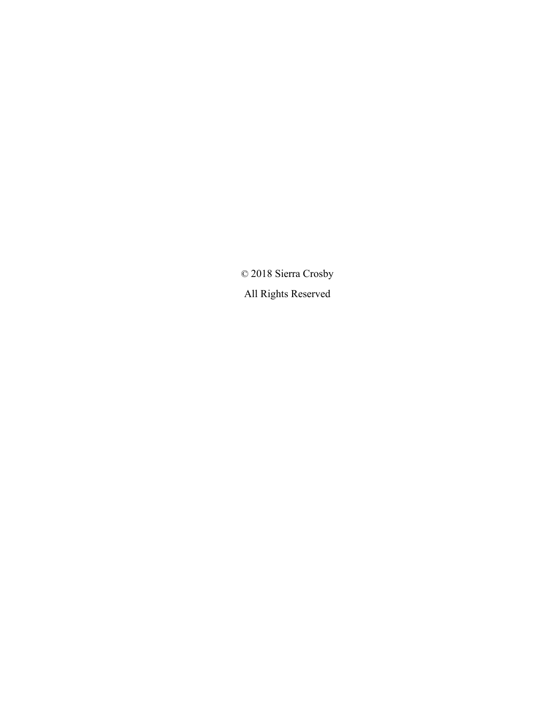© 2018 Sierra Crosby All Rights Reserved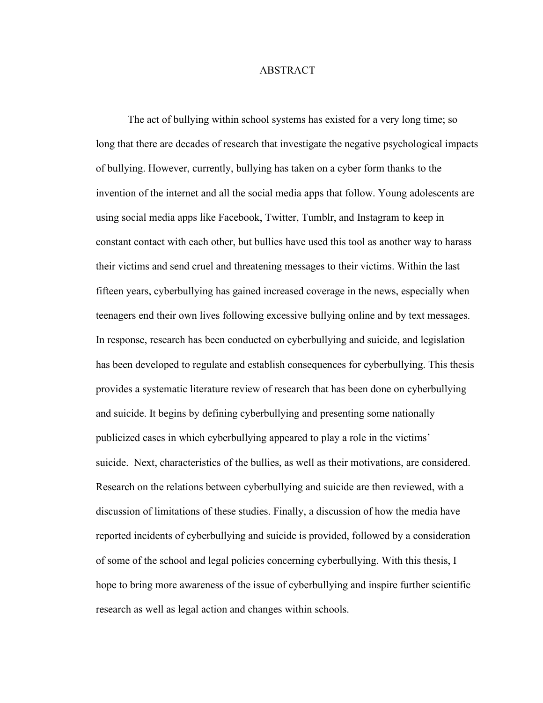### ABSTRACT

The act of bullying within school systems has existed for a very long time; so long that there are decades of research that investigate the negative psychological impacts of bullying. However, currently, bullying has taken on a cyber form thanks to the invention of the internet and all the social media apps that follow. Young adolescents are using social media apps like Facebook, Twitter, Tumblr, and Instagram to keep in constant contact with each other, but bullies have used this tool as another way to harass their victims and send cruel and threatening messages to their victims. Within the last fifteen years, cyberbullying has gained increased coverage in the news, especially when teenagers end their own lives following excessive bullying online and by text messages. In response, research has been conducted on cyberbullying and suicide, and legislation has been developed to regulate and establish consequences for cyberbullying. This thesis provides a systematic literature review of research that has been done on cyberbullying and suicide. It begins by defining cyberbullying and presenting some nationally publicized cases in which cyberbullying appeared to play a role in the victims' suicide. Next, characteristics of the bullies, as well as their motivations, are considered. Research on the relations between cyberbullying and suicide are then reviewed, with a discussion of limitations of these studies. Finally, a discussion of how the media have reported incidents of cyberbullying and suicide is provided, followed by a consideration of some of the school and legal policies concerning cyberbullying. With this thesis, I hope to bring more awareness of the issue of cyberbullying and inspire further scientific research as well as legal action and changes within schools.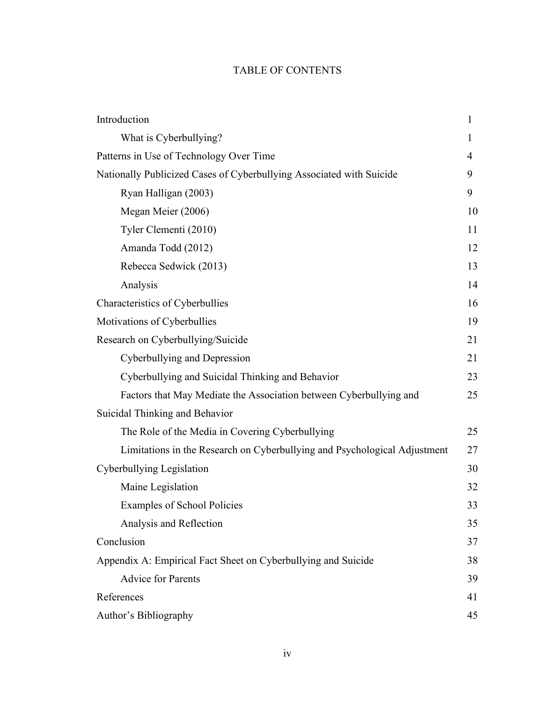# TABLE OF CONTENTS

| Introduction                                                              | 1  |
|---------------------------------------------------------------------------|----|
| What is Cyberbullying?                                                    | 1  |
| Patterns in Use of Technology Over Time                                   | 4  |
| Nationally Publicized Cases of Cyberbullying Associated with Suicide      | 9  |
| Ryan Halligan (2003)                                                      | 9  |
| Megan Meier (2006)                                                        | 10 |
| Tyler Clementi (2010)                                                     | 11 |
| Amanda Todd (2012)                                                        | 12 |
| Rebecca Sedwick (2013)                                                    | 13 |
| Analysis                                                                  | 14 |
| Characteristics of Cyberbullies                                           | 16 |
| Motivations of Cyberbullies                                               | 19 |
| Research on Cyberbullying/Suicide                                         | 21 |
| Cyberbullying and Depression                                              | 21 |
| Cyberbullying and Suicidal Thinking and Behavior                          | 23 |
| Factors that May Mediate the Association between Cyberbullying and        | 25 |
| Suicidal Thinking and Behavior                                            |    |
| The Role of the Media in Covering Cyberbullying                           | 25 |
| Limitations in the Research on Cyberbullying and Psychological Adjustment | 27 |
| Cyberbullying Legislation                                                 | 30 |
| Maine Legislation                                                         | 32 |
| <b>Examples of School Policies</b>                                        | 33 |
| Analysis and Reflection                                                   | 35 |
| Conclusion                                                                | 37 |
| Appendix A: Empirical Fact Sheet on Cyberbullying and Suicide             | 38 |
| <b>Advice for Parents</b>                                                 | 39 |
| References                                                                | 41 |
| Author's Bibliography                                                     | 45 |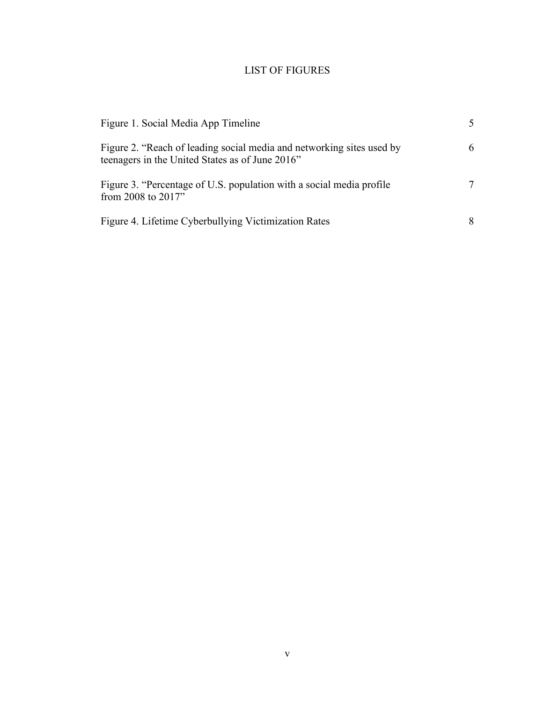# LIST OF FIGURES

| Figure 1. Social Media App Timeline                                                                                      | 5. |
|--------------------------------------------------------------------------------------------------------------------------|----|
| Figure 2. "Reach of leading social media and networking sites used by<br>teenagers in the United States as of June 2016" | 6  |
| Figure 3. "Percentage of U.S. population with a social media profile<br>from 2008 to 2017"                               | 7  |
| Figure 4. Lifetime Cyberbullying Victimization Rates                                                                     | 8  |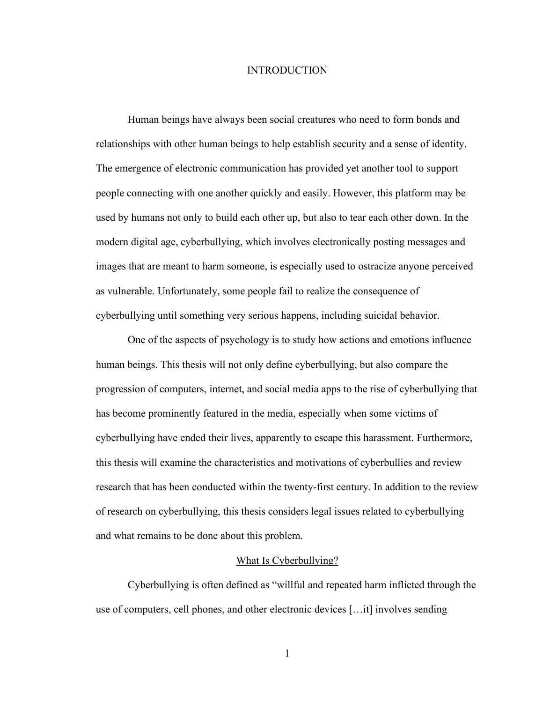#### INTRODUCTION

Human beings have always been social creatures who need to form bonds and relationships with other human beings to help establish security and a sense of identity. The emergence of electronic communication has provided yet another tool to support people connecting with one another quickly and easily. However, this platform may be used by humans not only to build each other up, but also to tear each other down. In the modern digital age, cyberbullying, which involves electronically posting messages and images that are meant to harm someone, is especially used to ostracize anyone perceived as vulnerable. Unfortunately, some people fail to realize the consequence of cyberbullying until something very serious happens, including suicidal behavior.

One of the aspects of psychology is to study how actions and emotions influence human beings. This thesis will not only define cyberbullying, but also compare the progression of computers, internet, and social media apps to the rise of cyberbullying that has become prominently featured in the media, especially when some victims of cyberbullying have ended their lives, apparently to escape this harassment. Furthermore, this thesis will examine the characteristics and motivations of cyberbullies and review research that has been conducted within the twenty-first century. In addition to the review of research on cyberbullying, this thesis considers legal issues related to cyberbullying and what remains to be done about this problem.

#### What Is Cyberbullying?

Cyberbullying is often defined as "willful and repeated harm inflicted through the use of computers, cell phones, and other electronic devices […it] involves sending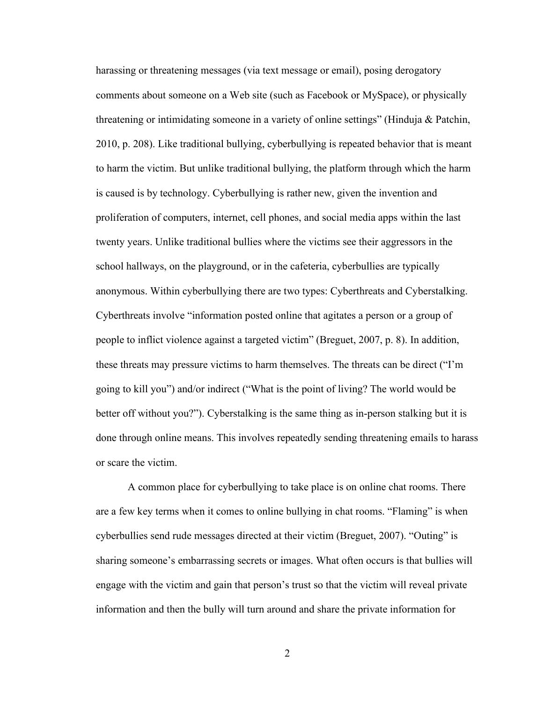harassing or threatening messages (via text message or email), posing derogatory comments about someone on a Web site (such as Facebook or MySpace), or physically threatening or intimidating someone in a variety of online settings" (Hinduja & Patchin, 2010, p. 208). Like traditional bullying, cyberbullying is repeated behavior that is meant to harm the victim. But unlike traditional bullying, the platform through which the harm is caused is by technology. Cyberbullying is rather new, given the invention and proliferation of computers, internet, cell phones, and social media apps within the last twenty years. Unlike traditional bullies where the victims see their aggressors in the school hallways, on the playground, or in the cafeteria, cyberbullies are typically anonymous. Within cyberbullying there are two types: Cyberthreats and Cyberstalking. Cyberthreats involve "information posted online that agitates a person or a group of people to inflict violence against a targeted victim" (Breguet, 2007, p. 8). In addition, these threats may pressure victims to harm themselves. The threats can be direct ("I'm going to kill you") and/or indirect ("What is the point of living? The world would be better off without you?"). Cyberstalking is the same thing as in-person stalking but it is done through online means. This involves repeatedly sending threatening emails to harass or scare the victim.

A common place for cyberbullying to take place is on online chat rooms. There are a few key terms when it comes to online bullying in chat rooms. "Flaming" is when cyberbullies send rude messages directed at their victim (Breguet, 2007). "Outing" is sharing someone's embarrassing secrets or images. What often occurs is that bullies will engage with the victim and gain that person's trust so that the victim will reveal private information and then the bully will turn around and share the private information for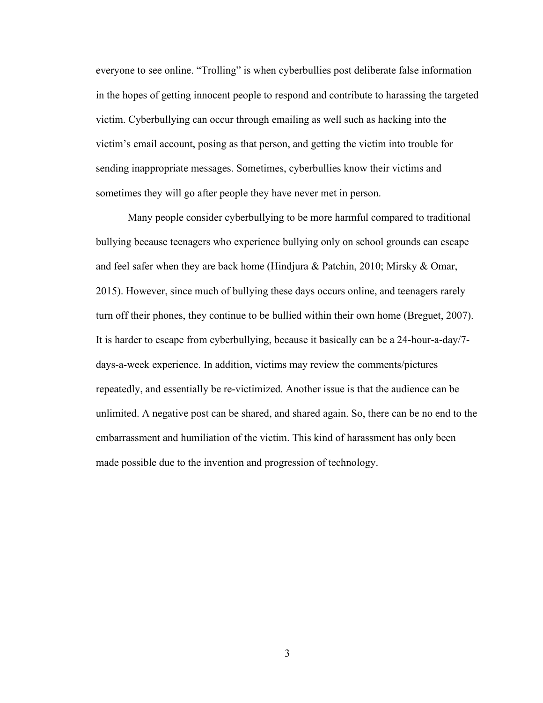everyone to see online. "Trolling" is when cyberbullies post deliberate false information in the hopes of getting innocent people to respond and contribute to harassing the targeted victim. Cyberbullying can occur through emailing as well such as hacking into the victim's email account, posing as that person, and getting the victim into trouble for sending inappropriate messages. Sometimes, cyberbullies know their victims and sometimes they will go after people they have never met in person.

Many people consider cyberbullying to be more harmful compared to traditional bullying because teenagers who experience bullying only on school grounds can escape and feel safer when they are back home (Hindjura & Patchin, 2010; Mirsky & Omar, 2015). However, since much of bullying these days occurs online, and teenagers rarely turn off their phones, they continue to be bullied within their own home (Breguet, 2007). It is harder to escape from cyberbullying, because it basically can be a 24-hour-a-day/7 days-a-week experience. In addition, victims may review the comments/pictures repeatedly, and essentially be re-victimized. Another issue is that the audience can be unlimited. A negative post can be shared, and shared again. So, there can be no end to the embarrassment and humiliation of the victim. This kind of harassment has only been made possible due to the invention and progression of technology.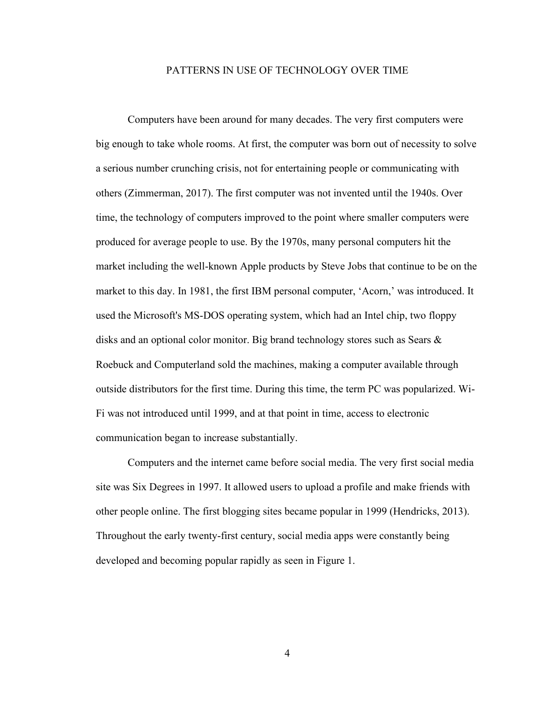#### PATTERNS IN USE OF TECHNOLOGY OVER TIME

Computers have been around for many decades. The very first computers were big enough to take whole rooms. At first, the computer was born out of necessity to solve a serious number crunching crisis, not for entertaining people or communicating with others (Zimmerman, 2017). The first computer was not invented until the 1940s. Over time, the technology of computers improved to the point where smaller computers were produced for average people to use. By the 1970s, many personal computers hit the market including the well-known Apple products by Steve Jobs that continue to be on the market to this day. In 1981, the first IBM personal computer, 'Acorn,' was introduced. It used the Microsoft's MS-DOS operating system, which had an Intel chip, two floppy disks and an optional color monitor. Big brand technology stores such as Sears & Roebuck and Computerland sold the machines, making a computer available through outside distributors for the first time. During this time, the term PC was popularized. Wi-Fi was not introduced until 1999, and at that point in time, access to electronic communication began to increase substantially.

Computers and the internet came before social media. The very first social media site was Six Degrees in 1997. It allowed users to upload a profile and make friends with other people online. The first blogging sites became popular in 1999 (Hendricks, 2013). Throughout the early twenty-first century, social media apps were constantly being developed and becoming popular rapidly as seen in Figure 1.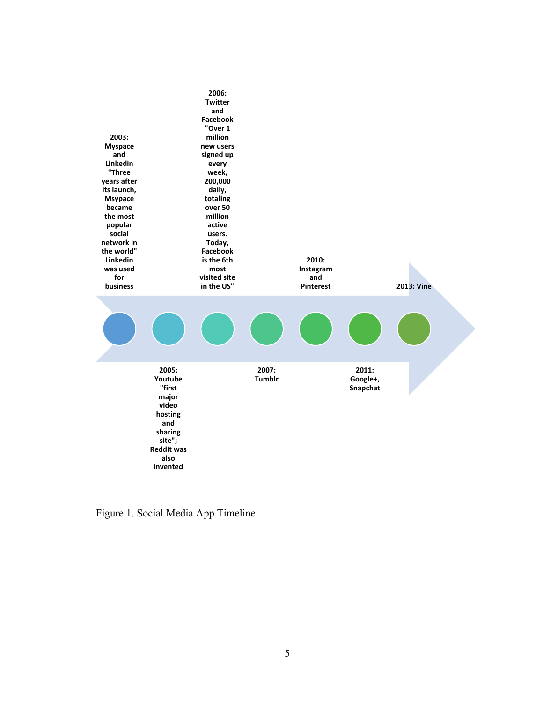

Figure 1. Social Media App Timeline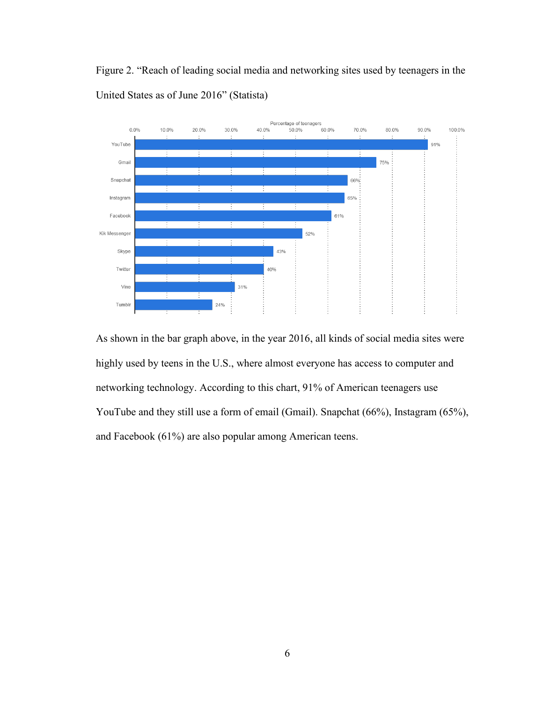Figure 2. "Reach of leading social media and networking sites used by teenagers in the United States as of June 2016" (Statista)



As shown in the bar graph above, in the year 2016, all kinds of social media sites were highly used by teens in the U.S., where almost everyone has access to computer and networking technology. According to this chart, 91% of American teenagers use YouTube and they still use a form of email (Gmail). Snapchat (66%), Instagram (65%), and Facebook (61%) are also popular among American teens.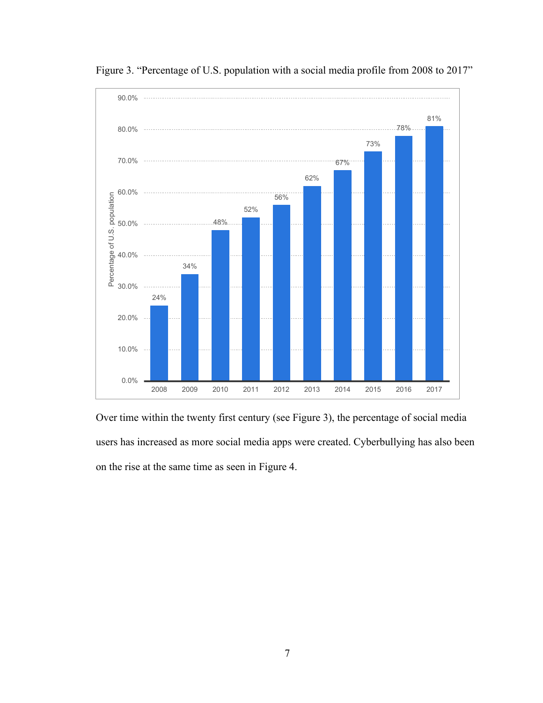

Figure 3. "Percentage of U.S. population with a social media profile from 2008 to 2017"

Over time within the twenty first century (see Figure 3), the percentage of social media users has increased as more social media apps were created. Cyberbullying has also been on the rise at the same time as seen in Figure 4.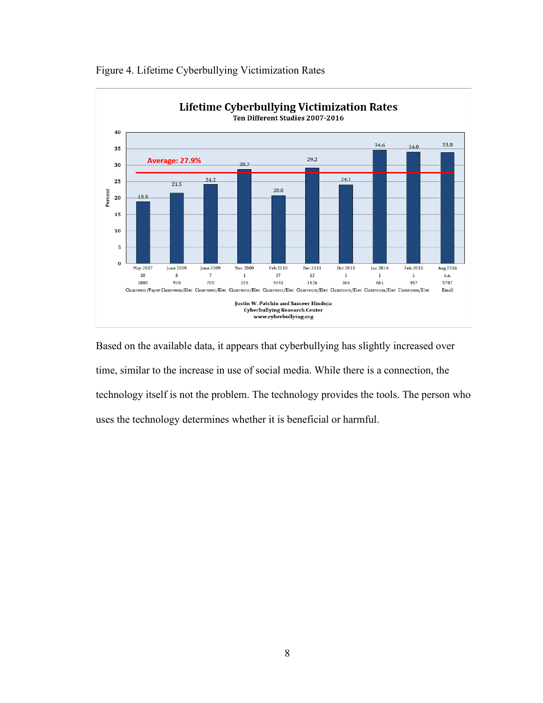

Figure 4. Lifetime Cyberbullying Victimization Rates

Based on the available data, it appears that cyberbullying has slightly increased over time, similar to the increase in use of social media. While there is a connection, the technology itself is not the problem. The technology provides the tools. The person who uses the technology determines whether it is beneficial or harmful.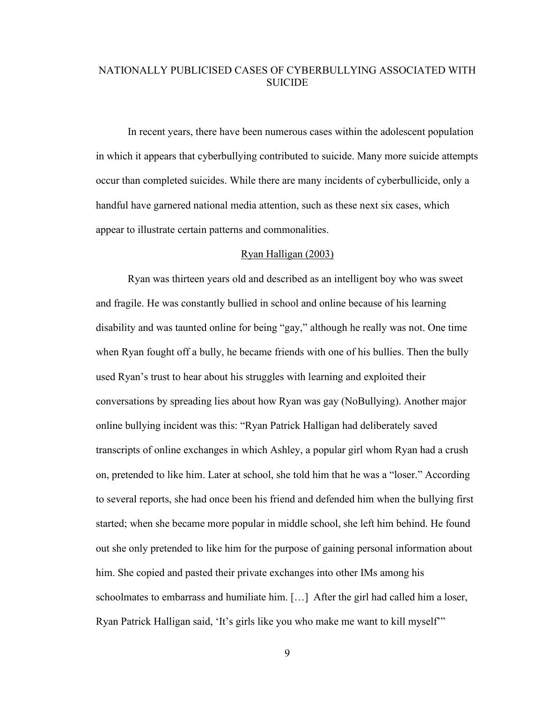# NATIONALLY PUBLICISED CASES OF CYBERBULLYING ASSOCIATED WITH SUICIDE.

In recent years, there have been numerous cases within the adolescent population in which it appears that cyberbullying contributed to suicide. Many more suicide attempts occur than completed suicides. While there are many incidents of cyberbullicide, only a handful have garnered national media attention, such as these next six cases, which appear to illustrate certain patterns and commonalities.

### Ryan Halligan (2003)

Ryan was thirteen years old and described as an intelligent boy who was sweet and fragile. He was constantly bullied in school and online because of his learning disability and was taunted online for being "gay," although he really was not. One time when Ryan fought off a bully, he became friends with one of his bullies. Then the bully used Ryan's trust to hear about his struggles with learning and exploited their conversations by spreading lies about how Ryan was gay (NoBullying). Another major online bullying incident was this: "Ryan Patrick Halligan had deliberately saved transcripts of online exchanges in which Ashley, a popular girl whom Ryan had a crush on, pretended to like him. Later at school, she told him that he was a "loser." According to several reports, she had once been his friend and defended him when the bullying first started; when she became more popular in middle school, she left him behind. He found out she only pretended to like him for the purpose of gaining personal information about him. She copied and pasted their private exchanges into other IMs among his schoolmates to embarrass and humiliate him. […] After the girl had called him a loser, Ryan Patrick Halligan said, 'It's girls like you who make me want to kill myself'"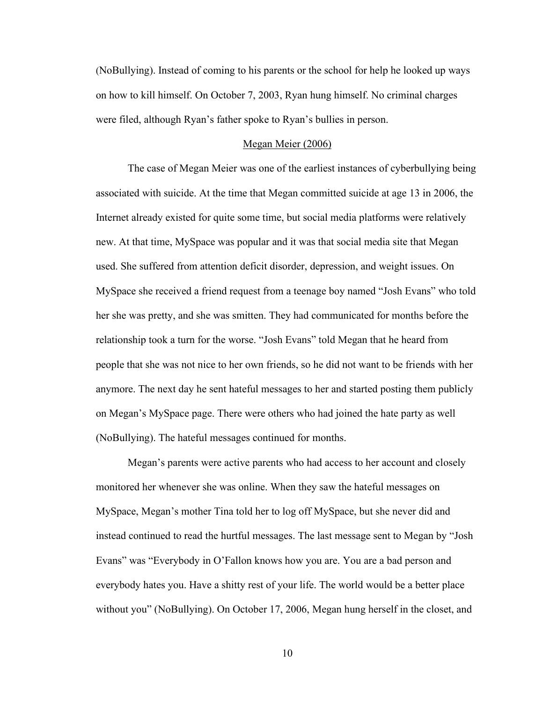(NoBullying). Instead of coming to his parents or the school for help he looked up ways on how to kill himself. On October 7, 2003, Ryan hung himself. No criminal charges were filed, although Ryan's father spoke to Ryan's bullies in person.

#### Megan Meier (2006)

The case of Megan Meier was one of the earliest instances of cyberbullying being associated with suicide. At the time that Megan committed suicide at age 13 in 2006, the Internet already existed for quite some time, but social media platforms were relatively new. At that time, MySpace was popular and it was that social media site that Megan used. She suffered from attention deficit disorder, depression, and weight issues. On MySpace she received a friend request from a teenage boy named "Josh Evans" who told her she was pretty, and she was smitten. They had communicated for months before the relationship took a turn for the worse. "Josh Evans" told Megan that he heard from people that she was not nice to her own friends, so he did not want to be friends with her anymore. The next day he sent hateful messages to her and started posting them publicly on Megan's MySpace page. There were others who had joined the hate party as well (NoBullying). The hateful messages continued for months.

Megan's parents were active parents who had access to her account and closely monitored her whenever she was online. When they saw the hateful messages on MySpace, Megan's mother Tina told her to log off MySpace, but she never did and instead continued to read the hurtful messages. The last message sent to Megan by "Josh Evans" was "Everybody in O'Fallon knows how you are. You are a bad person and everybody hates you. Have a shitty rest of your life. The world would be a better place without you" (NoBullying). On October 17, 2006, Megan hung herself in the closet, and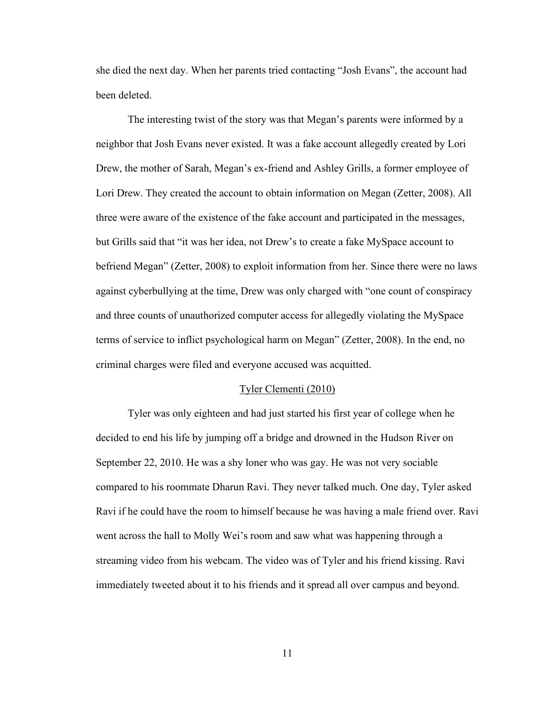she died the next day. When her parents tried contacting "Josh Evans", the account had been deleted.

The interesting twist of the story was that Megan's parents were informed by a neighbor that Josh Evans never existed. It was a fake account allegedly created by Lori Drew, the mother of Sarah, Megan's ex-friend and Ashley Grills, a former employee of Lori Drew. They created the account to obtain information on Megan (Zetter, 2008). All three were aware of the existence of the fake account and participated in the messages, but Grills said that "it was her idea, not Drew's to create a fake MySpace account to befriend Megan" (Zetter, 2008) to exploit information from her. Since there were no laws against cyberbullying at the time, Drew was only charged with "one count of conspiracy and three counts of unauthorized computer access for allegedly violating the MySpace terms of service to inflict psychological harm on Megan" (Zetter, 2008). In the end, no criminal charges were filed and everyone accused was acquitted.

#### Tyler Clementi (2010)

Tyler was only eighteen and had just started his first year of college when he decided to end his life by jumping off a bridge and drowned in the Hudson River on September 22, 2010. He was a shy loner who was gay. He was not very sociable compared to his roommate Dharun Ravi. They never talked much. One day, Tyler asked Ravi if he could have the room to himself because he was having a male friend over. Ravi went across the hall to Molly Wei's room and saw what was happening through a streaming video from his webcam. The video was of Tyler and his friend kissing. Ravi immediately tweeted about it to his friends and it spread all over campus and beyond.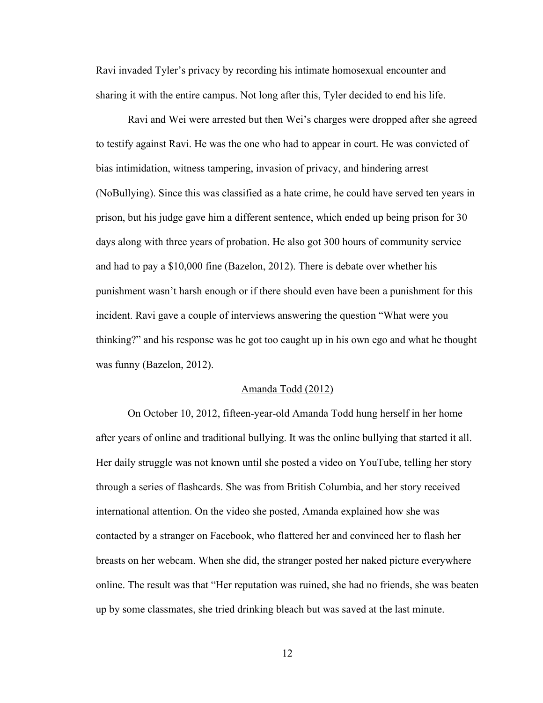Ravi invaded Tyler's privacy by recording his intimate homosexual encounter and sharing it with the entire campus. Not long after this, Tyler decided to end his life.

Ravi and Wei were arrested but then Wei's charges were dropped after she agreed to testify against Ravi. He was the one who had to appear in court. He was convicted of bias intimidation, witness tampering, invasion of privacy, and hindering arrest (NoBullying). Since this was classified as a hate crime, he could have served ten years in prison, but his judge gave him a different sentence, which ended up being prison for 30 days along with three years of probation. He also got 300 hours of community service and had to pay a \$10,000 fine (Bazelon, 2012). There is debate over whether his punishment wasn't harsh enough or if there should even have been a punishment for this incident. Ravi gave a couple of interviews answering the question "What were you thinking?" and his response was he got too caught up in his own ego and what he thought was funny (Bazelon, 2012).

#### Amanda Todd (2012)

On October 10, 2012, fifteen-year-old Amanda Todd hung herself in her home after years of online and traditional bullying. It was the online bullying that started it all. Her daily struggle was not known until she posted a video on YouTube, telling her story through a series of flashcards. She was from British Columbia, and her story received international attention. On the video she posted, Amanda explained how she was contacted by a stranger on Facebook, who flattered her and convinced her to flash her breasts on her webcam. When she did, the stranger posted her naked picture everywhere online. The result was that "Her reputation was ruined, she had no friends, she was beaten up by some classmates, she tried drinking bleach but was saved at the last minute.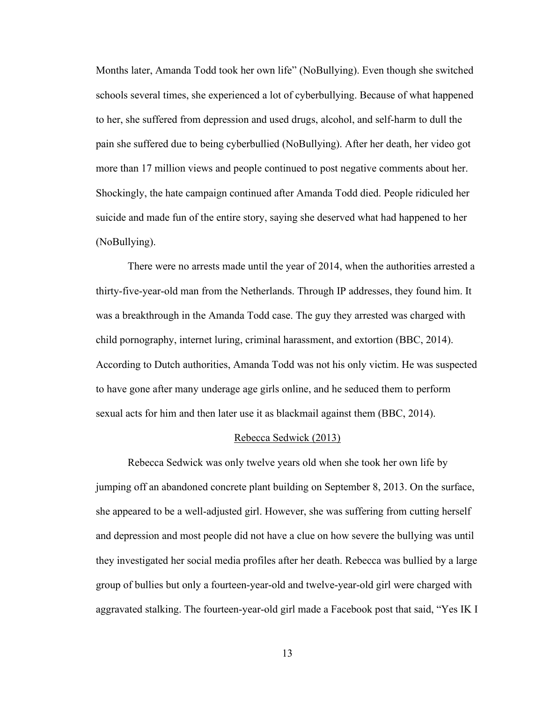Months later, Amanda Todd took her own life" (NoBullying). Even though she switched schools several times, she experienced a lot of cyberbullying. Because of what happened to her, she suffered from depression and used drugs, alcohol, and self-harm to dull the pain she suffered due to being cyberbullied (NoBullying). After her death, her video got more than 17 million views and people continued to post negative comments about her. Shockingly, the hate campaign continued after Amanda Todd died. People ridiculed her suicide and made fun of the entire story, saying she deserved what had happened to her (NoBullying).

There were no arrests made until the year of 2014, when the authorities arrested a thirty-five-year-old man from the Netherlands. Through IP addresses, they found him. It was a breakthrough in the Amanda Todd case. The guy they arrested was charged with child pornography, internet luring, criminal harassment, and extortion (BBC, 2014). According to Dutch authorities, Amanda Todd was not his only victim. He was suspected to have gone after many underage age girls online, and he seduced them to perform sexual acts for him and then later use it as blackmail against them (BBC, 2014).

#### Rebecca Sedwick (2013)

Rebecca Sedwick was only twelve years old when she took her own life by jumping off an abandoned concrete plant building on September 8, 2013. On the surface, she appeared to be a well-adjusted girl. However, she was suffering from cutting herself and depression and most people did not have a clue on how severe the bullying was until they investigated her social media profiles after her death. Rebecca was bullied by a large group of bullies but only a fourteen-year-old and twelve-year-old girl were charged with aggravated stalking. The fourteen-year-old girl made a Facebook post that said, "Yes IK I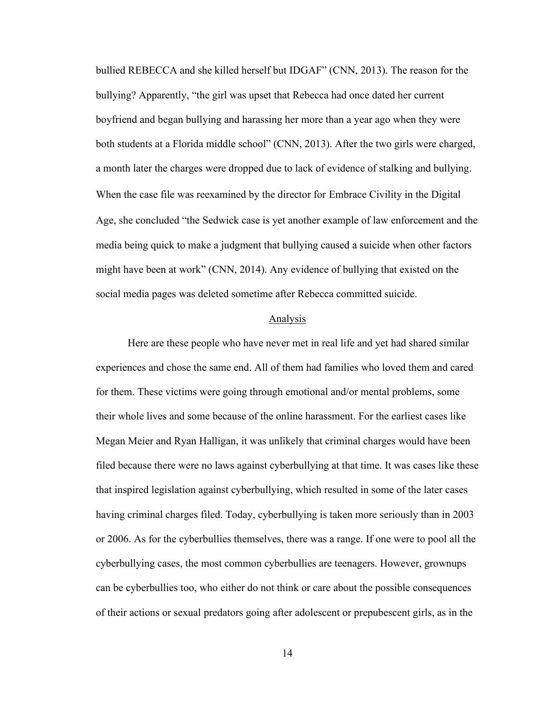bullied REBECCA and she killed herself but IDGAF" (CNN, 2013). The reason for the bullying? Apparently, "the girl was upset that Rebecca had once dated her current boyfriend and began bullying and harassing her more than a year ago when they were both students at a Florida middle school" (CNN, 2013). After the two girls were charged, a month later the charges were dropped due to lack of evidence of stalking and bullying. When the case file was reexamined by the director for Embrace Civility in the Digital Age, she concluded "the Sedwick case is yet another example of law enforcement and the media being quick to make a judgment that bullying caused a suicide when other factors might have been at work" (CNN, 2014). Any evidence of bullying that existed on the social media pages was deleted sometime after Rebecca committed suicide.

# Analysis

Here are these people who have never met in real life and yet had shared similar experiences and chose the same end. All of them had families who loved them and cared for them. These victims were going through emotional and/or mental problems, some their whole lives and some because of the online harassment. For the earliest cases like Megan Meier and Ryan Halligan, it was unlikely that criminal charges would have been filed because there were no laws against cyberbullying at that time. It was cases like these that inspired legislation against cyberbullying, which resulted in some of the later cases having criminal charges filed. Today, cyberbullying is taken more seriously than in 2003 or 2006. As for the cyberbullies themselves, there was a range. If one were to pool all the cyberbullying cases, the most common cyberbullies are teenagers. However, grownups can be cyberbullies too, who either do not think or care about the possible consequences of their actions or sexual predators going after adolescent or prepubescent girls, as in the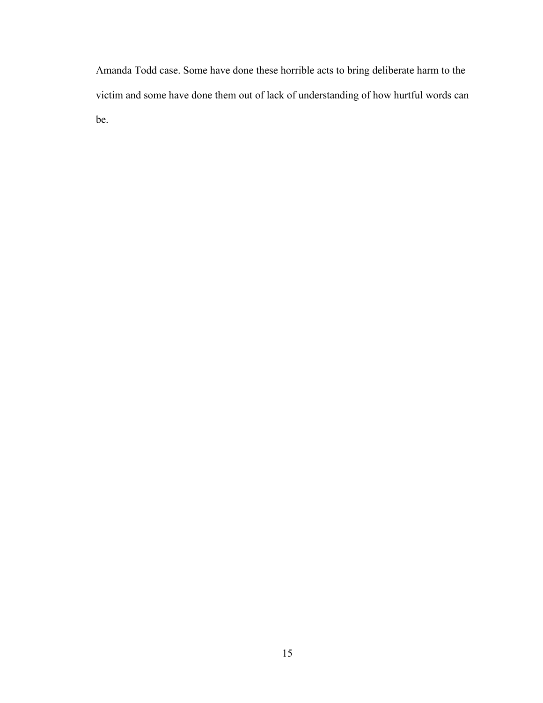Amanda Todd case. Some have done these horrible acts to bring deliberate harm to the victim and some have done them out of lack of understanding of how hurtful words can be.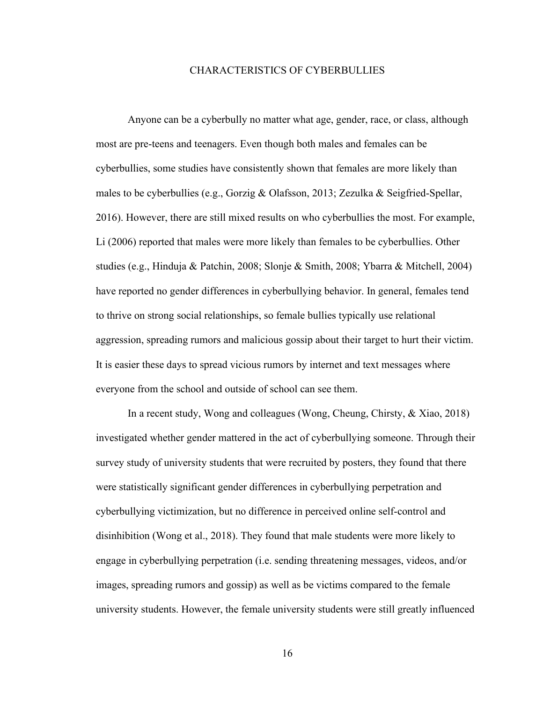### CHARACTERISTICS OF CYBERBULLIES

Anyone can be a cyberbully no matter what age, gender, race, or class, although most are pre-teens and teenagers. Even though both males and females can be cyberbullies, some studies have consistently shown that females are more likely than males to be cyberbullies (e.g., Gorzig & Olafsson, 2013; Zezulka & Seigfried-Spellar, 2016). However, there are still mixed results on who cyberbullies the most. For example, Li (2006) reported that males were more likely than females to be cyberbullies. Other studies (e.g., Hinduja & Patchin, 2008; Slonje & Smith, 2008; Ybarra & Mitchell, 2004) have reported no gender differences in cyberbullying behavior. In general, females tend to thrive on strong social relationships, so female bullies typically use relational aggression, spreading rumors and malicious gossip about their target to hurt their victim. It is easier these days to spread vicious rumors by internet and text messages where everyone from the school and outside of school can see them.

In a recent study, Wong and colleagues (Wong, Cheung, Chirsty, & Xiao, 2018) investigated whether gender mattered in the act of cyberbullying someone. Through their survey study of university students that were recruited by posters, they found that there were statistically significant gender differences in cyberbullying perpetration and cyberbullying victimization, but no difference in perceived online self-control and disinhibition (Wong et al., 2018). They found that male students were more likely to engage in cyberbullying perpetration (i.e. sending threatening messages, videos, and/or images, spreading rumors and gossip) as well as be victims compared to the female university students. However, the female university students were still greatly influenced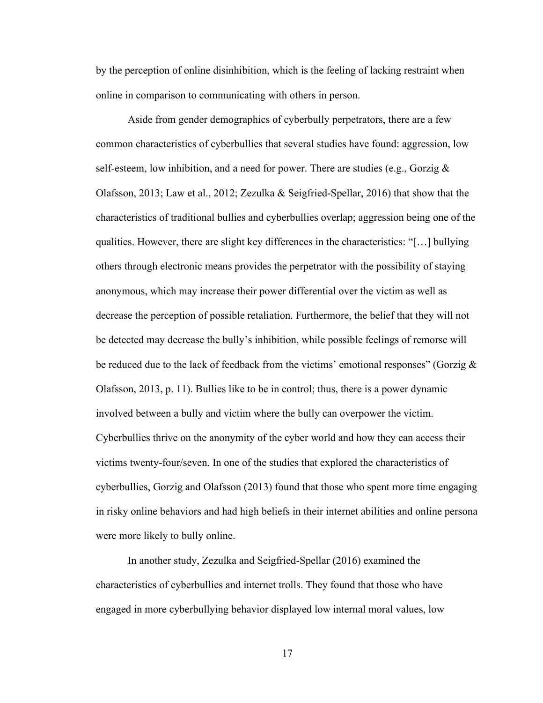by the perception of online disinhibition, which is the feeling of lacking restraint when online in comparison to communicating with others in person.

Aside from gender demographics of cyberbully perpetrators, there are a few common characteristics of cyberbullies that several studies have found: aggression, low self-esteem, low inhibition, and a need for power. There are studies (e.g., Gorzig  $\&$ Olafsson, 2013; Law et al., 2012; Zezulka & Seigfried-Spellar, 2016) that show that the characteristics of traditional bullies and cyberbullies overlap; aggression being one of the qualities. However, there are slight key differences in the characteristics: "[…] bullying others through electronic means provides the perpetrator with the possibility of staying anonymous, which may increase their power differential over the victim as well as decrease the perception of possible retaliation. Furthermore, the belief that they will not be detected may decrease the bully's inhibition, while possible feelings of remorse will be reduced due to the lack of feedback from the victims' emotional responses" (Gorzig  $\&$ Olafsson, 2013, p. 11). Bullies like to be in control; thus, there is a power dynamic involved between a bully and victim where the bully can overpower the victim. Cyberbullies thrive on the anonymity of the cyber world and how they can access their victims twenty-four/seven. In one of the studies that explored the characteristics of cyberbullies, Gorzig and Olafsson (2013) found that those who spent more time engaging in risky online behaviors and had high beliefs in their internet abilities and online persona were more likely to bully online.

In another study, Zezulka and Seigfried-Spellar (2016) examined the characteristics of cyberbullies and internet trolls. They found that those who have engaged in more cyberbullying behavior displayed low internal moral values, low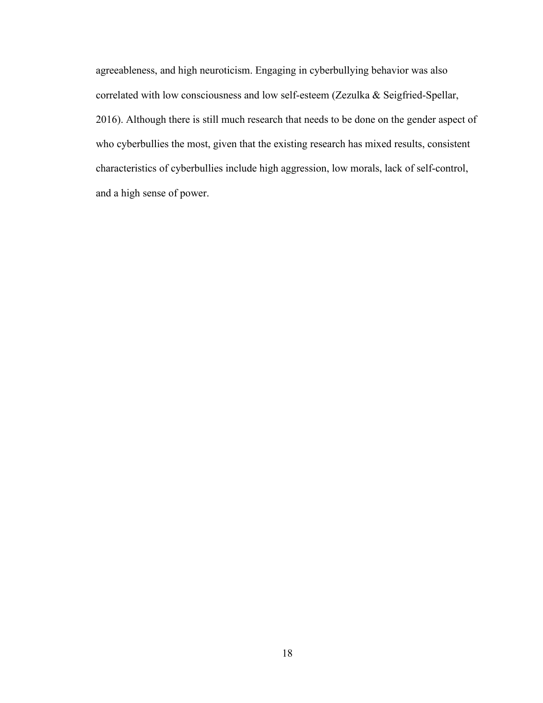agreeableness, and high neuroticism. Engaging in cyberbullying behavior was also correlated with low consciousness and low self-esteem (Zezulka & Seigfried-Spellar, 2016). Although there is still much research that needs to be done on the gender aspect of who cyberbullies the most, given that the existing research has mixed results, consistent characteristics of cyberbullies include high aggression, low morals, lack of self-control, and a high sense of power.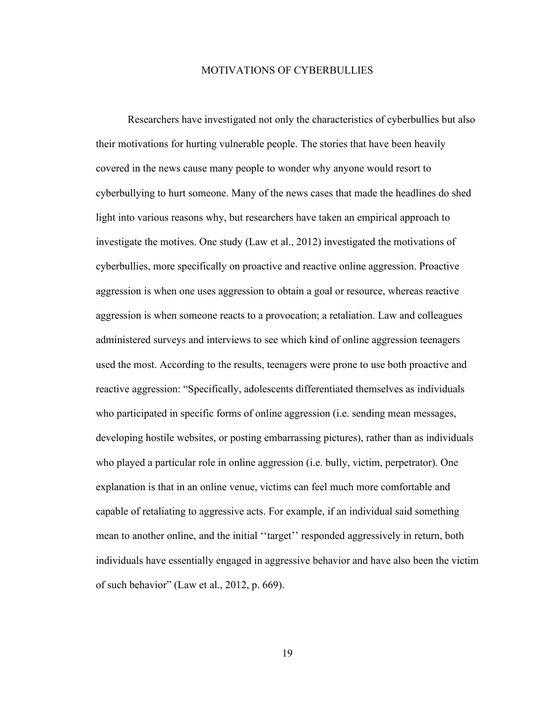### MOTIVATIONS OF CYBERBULLIES

Researchers have investigated not only the characteristics of cyberbullies but also their motivations for hurting vulnerable people. The stories that have been heavily covered in the news cause many people to wonder why anyone would resort to cyberbullying to hurt someone. Many of the news cases that made the headlines do shed light into various reasons why, but researchers have taken an empirical approach to investigate the motives. One study (Law et al., 2012) investigated the motivations of cyberbullies, more specifically on proactive and reactive online aggression. Proactive aggression is when one uses aggression to obtain a goal or resource, whereas reactive aggression is when someone reacts to a provocation; a retaliation. Law and colleagues administered surveys and interviews to see which kind of online aggression teenagers used the most. According to the results, teenagers were prone to use both proactive and reactive aggression: "Specifically, adolescents differentiated themselves as individuals who participated in specific forms of online aggression (i.e. sending mean messages, developing hostile websites, or posting embarrassing pictures), rather than as individuals who played a particular role in online aggression (i.e. bully, victim, perpetrator). One explanation is that in an online venue, victims can feel much more comfortable and capable of retaliating to aggressive acts. For example, if an individual said something mean to another online, and the initial ''target'' responded aggressively in return, both individuals have essentially engaged in aggressive behavior and have also been the victim of such behavior" (Law et al., 2012, p. 669).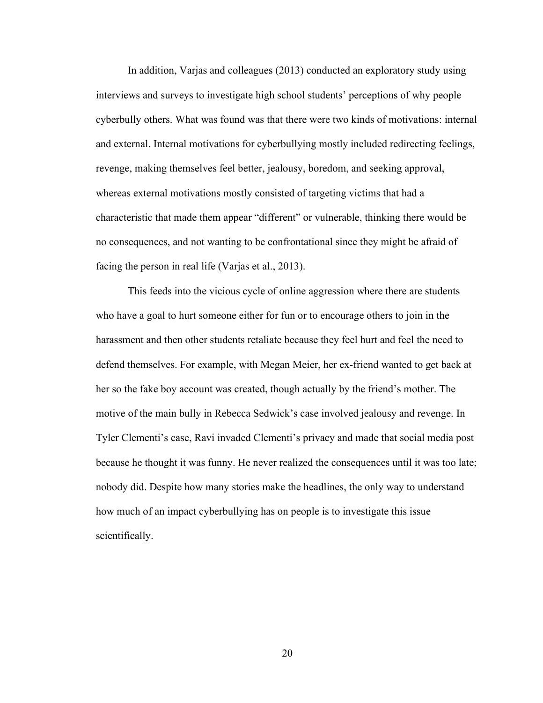In addition, Varjas and colleagues (2013) conducted an exploratory study using interviews and surveys to investigate high school students' perceptions of why people cyberbully others. What was found was that there were two kinds of motivations: internal and external. Internal motivations for cyberbullying mostly included redirecting feelings, revenge, making themselves feel better, jealousy, boredom, and seeking approval, whereas external motivations mostly consisted of targeting victims that had a characteristic that made them appear "different" or vulnerable, thinking there would be no consequences, and not wanting to be confrontational since they might be afraid of facing the person in real life (Varjas et al., 2013).

This feeds into the vicious cycle of online aggression where there are students who have a goal to hurt someone either for fun or to encourage others to join in the harassment and then other students retaliate because they feel hurt and feel the need to defend themselves. For example, with Megan Meier, her ex-friend wanted to get back at her so the fake boy account was created, though actually by the friend's mother. The motive of the main bully in Rebecca Sedwick's case involved jealousy and revenge. In Tyler Clementi's case, Ravi invaded Clementi's privacy and made that social media post because he thought it was funny. He never realized the consequences until it was too late; nobody did. Despite how many stories make the headlines, the only way to understand how much of an impact cyberbullying has on people is to investigate this issue scientifically.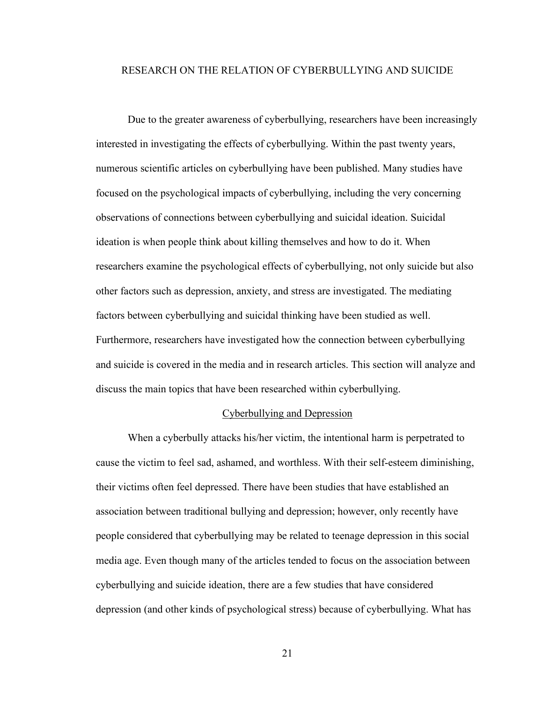### RESEARCH ON THE RELATION OF CYBERBULLYING AND SUICIDE

Due to the greater awareness of cyberbullying, researchers have been increasingly interested in investigating the effects of cyberbullying. Within the past twenty years, numerous scientific articles on cyberbullying have been published. Many studies have focused on the psychological impacts of cyberbullying, including the very concerning observations of connections between cyberbullying and suicidal ideation. Suicidal ideation is when people think about killing themselves and how to do it. When researchers examine the psychological effects of cyberbullying, not only suicide but also other factors such as depression, anxiety, and stress are investigated. The mediating factors between cyberbullying and suicidal thinking have been studied as well. Furthermore, researchers have investigated how the connection between cyberbullying and suicide is covered in the media and in research articles. This section will analyze and discuss the main topics that have been researched within cyberbullying.

#### Cyberbullying and Depression

When a cyberbully attacks his/her victim, the intentional harm is perpetrated to cause the victim to feel sad, ashamed, and worthless. With their self-esteem diminishing, their victims often feel depressed. There have been studies that have established an association between traditional bullying and depression; however, only recently have people considered that cyberbullying may be related to teenage depression in this social media age. Even though many of the articles tended to focus on the association between cyberbullying and suicide ideation, there are a few studies that have considered depression (and other kinds of psychological stress) because of cyberbullying. What has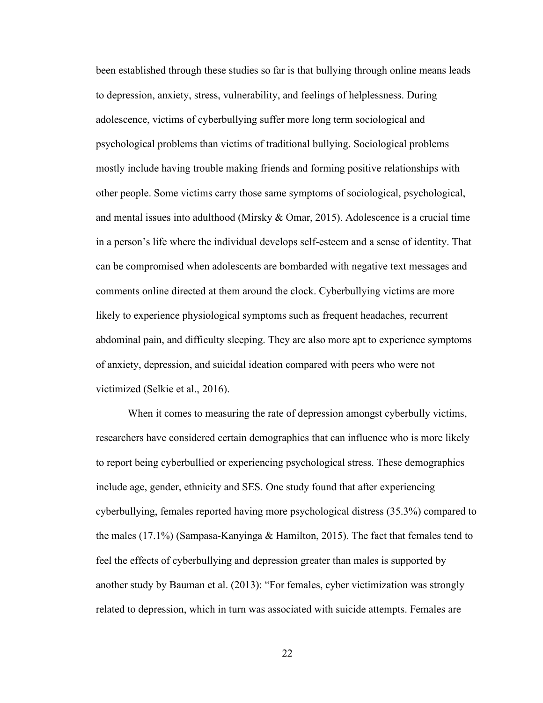been established through these studies so far is that bullying through online means leads to depression, anxiety, stress, vulnerability, and feelings of helplessness. During adolescence, victims of cyberbullying suffer more long term sociological and psychological problems than victims of traditional bullying. Sociological problems mostly include having trouble making friends and forming positive relationships with other people. Some victims carry those same symptoms of sociological, psychological, and mental issues into adulthood (Mirsky  $&$  Omar, 2015). Adolescence is a crucial time in a person's life where the individual develops self-esteem and a sense of identity. That can be compromised when adolescents are bombarded with negative text messages and comments online directed at them around the clock. Cyberbullying victims are more likely to experience physiological symptoms such as frequent headaches, recurrent abdominal pain, and difficulty sleeping. They are also more apt to experience symptoms of anxiety, depression, and suicidal ideation compared with peers who were not victimized (Selkie et al., 2016).

When it comes to measuring the rate of depression amongst cyberbully victims, researchers have considered certain demographics that can influence who is more likely to report being cyberbullied or experiencing psychological stress. These demographics include age, gender, ethnicity and SES. One study found that after experiencing cyberbullying, females reported having more psychological distress (35.3%) compared to the males (17.1%) (Sampasa-Kanyinga & Hamilton, 2015). The fact that females tend to feel the effects of cyberbullying and depression greater than males is supported by another study by Bauman et al. (2013): "For females, cyber victimization was strongly related to depression, which in turn was associated with suicide attempts. Females are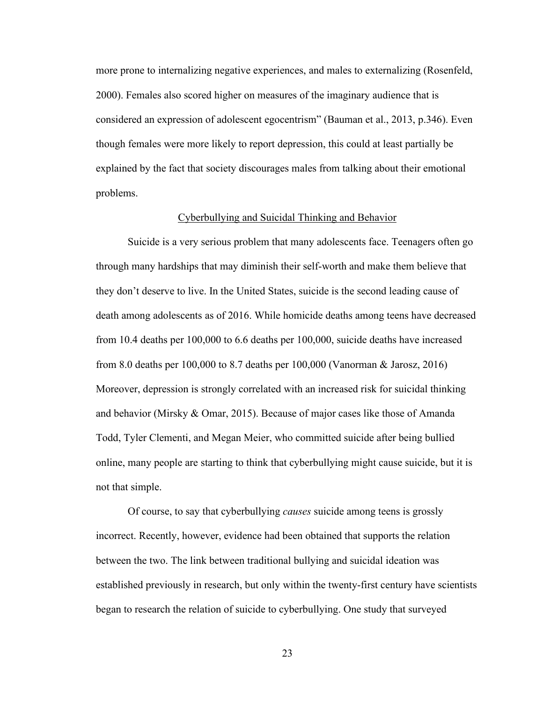more prone to internalizing negative experiences, and males to externalizing (Rosenfeld, 2000). Females also scored higher on measures of the imaginary audience that is considered an expression of adolescent egocentrism" (Bauman et al., 2013, p.346). Even though females were more likely to report depression, this could at least partially be explained by the fact that society discourages males from talking about their emotional problems.

#### Cyberbullying and Suicidal Thinking and Behavior

Suicide is a very serious problem that many adolescents face. Teenagers often go through many hardships that may diminish their self-worth and make them believe that they don't deserve to live. In the United States, suicide is the second leading cause of death among adolescents as of 2016. While homicide deaths among teens have decreased from 10.4 deaths per 100,000 to 6.6 deaths per 100,000, suicide deaths have increased from 8.0 deaths per 100,000 to 8.7 deaths per 100,000 (Vanorman & Jarosz, 2016) Moreover, depression is strongly correlated with an increased risk for suicidal thinking and behavior (Mirsky & Omar, 2015). Because of major cases like those of Amanda Todd, Tyler Clementi, and Megan Meier, who committed suicide after being bullied online, many people are starting to think that cyberbullying might cause suicide, but it is not that simple.

Of course, to say that cyberbullying *causes* suicide among teens is grossly incorrect. Recently, however, evidence had been obtained that supports the relation between the two. The link between traditional bullying and suicidal ideation was established previously in research, but only within the twenty-first century have scientists began to research the relation of suicide to cyberbullying. One study that surveyed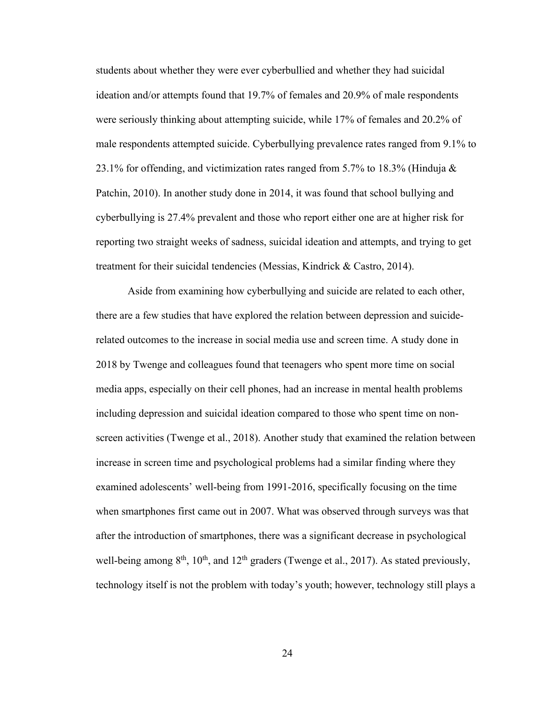students about whether they were ever cyberbullied and whether they had suicidal ideation and/or attempts found that 19.7% of females and 20.9% of male respondents were seriously thinking about attempting suicide, while 17% of females and 20.2% of male respondents attempted suicide. Cyberbullying prevalence rates ranged from 9.1% to 23.1% for offending, and victimization rates ranged from 5.7% to 18.3% (Hinduja  $\&$ Patchin, 2010). In another study done in 2014, it was found that school bullying and cyberbullying is 27.4% prevalent and those who report either one are at higher risk for reporting two straight weeks of sadness, suicidal ideation and attempts, and trying to get treatment for their suicidal tendencies (Messias, Kindrick & Castro, 2014).

Aside from examining how cyberbullying and suicide are related to each other, there are a few studies that have explored the relation between depression and suiciderelated outcomes to the increase in social media use and screen time. A study done in 2018 by Twenge and colleagues found that teenagers who spent more time on social media apps, especially on their cell phones, had an increase in mental health problems including depression and suicidal ideation compared to those who spent time on nonscreen activities (Twenge et al., 2018). Another study that examined the relation between increase in screen time and psychological problems had a similar finding where they examined adolescents' well-being from 1991-2016, specifically focusing on the time when smartphones first came out in 2007. What was observed through surveys was that after the introduction of smartphones, there was a significant decrease in psychological well-being among  $8<sup>th</sup>$ ,  $10<sup>th</sup>$ , and  $12<sup>th</sup>$  graders (Twenge et al., 2017). As stated previously, technology itself is not the problem with today's youth; however, technology still plays a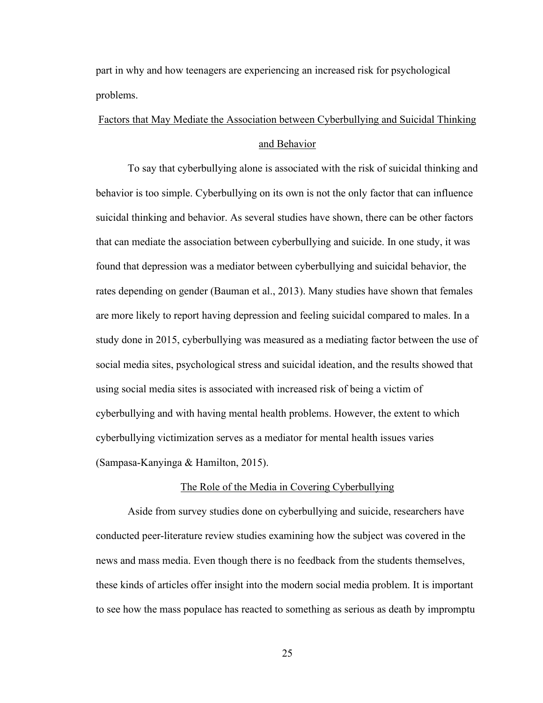part in why and how teenagers are experiencing an increased risk for psychological problems.

# Factors that May Mediate the Association between Cyberbullying and Suicidal Thinking and Behavior

To say that cyberbullying alone is associated with the risk of suicidal thinking and behavior is too simple. Cyberbullying on its own is not the only factor that can influence suicidal thinking and behavior. As several studies have shown, there can be other factors that can mediate the association between cyberbullying and suicide. In one study, it was found that depression was a mediator between cyberbullying and suicidal behavior, the rates depending on gender (Bauman et al., 2013). Many studies have shown that females are more likely to report having depression and feeling suicidal compared to males. In a study done in 2015, cyberbullying was measured as a mediating factor between the use of social media sites, psychological stress and suicidal ideation, and the results showed that using social media sites is associated with increased risk of being a victim of cyberbullying and with having mental health problems. However, the extent to which cyberbullying victimization serves as a mediator for mental health issues varies (Sampasa-Kanyinga & Hamilton, 2015).

#### The Role of the Media in Covering Cyberbullying

Aside from survey studies done on cyberbullying and suicide, researchers have conducted peer-literature review studies examining how the subject was covered in the news and mass media. Even though there is no feedback from the students themselves, these kinds of articles offer insight into the modern social media problem. It is important to see how the mass populace has reacted to something as serious as death by impromptu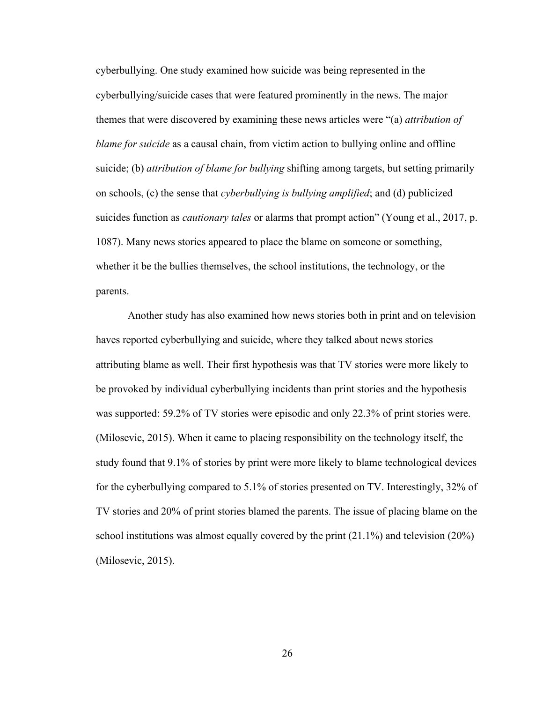cyberbullying. One study examined how suicide was being represented in the cyberbullying/suicide cases that were featured prominently in the news. The major themes that were discovered by examining these news articles were "(a) *attribution of blame for suicide* as a causal chain, from victim action to bullying online and offline suicide; (b) *attribution of blame for bullying* shifting among targets, but setting primarily on schools, (c) the sense that *cyberbullying is bullying amplified*; and (d) publicized suicides function as *cautionary tales* or alarms that prompt action" (Young et al., 2017, p. 1087). Many news stories appeared to place the blame on someone or something, whether it be the bullies themselves, the school institutions, the technology, or the parents.

Another study has also examined how news stories both in print and on television haves reported cyberbullying and suicide, where they talked about news stories attributing blame as well. Their first hypothesis was that TV stories were more likely to be provoked by individual cyberbullying incidents than print stories and the hypothesis was supported: 59.2% of TV stories were episodic and only 22.3% of print stories were. (Milosevic, 2015). When it came to placing responsibility on the technology itself, the study found that 9.1% of stories by print were more likely to blame technological devices for the cyberbullying compared to 5.1% of stories presented on TV. Interestingly, 32% of TV stories and 20% of print stories blamed the parents. The issue of placing blame on the school institutions was almost equally covered by the print  $(21.1\%)$  and television  $(20\%)$ (Milosevic, 2015).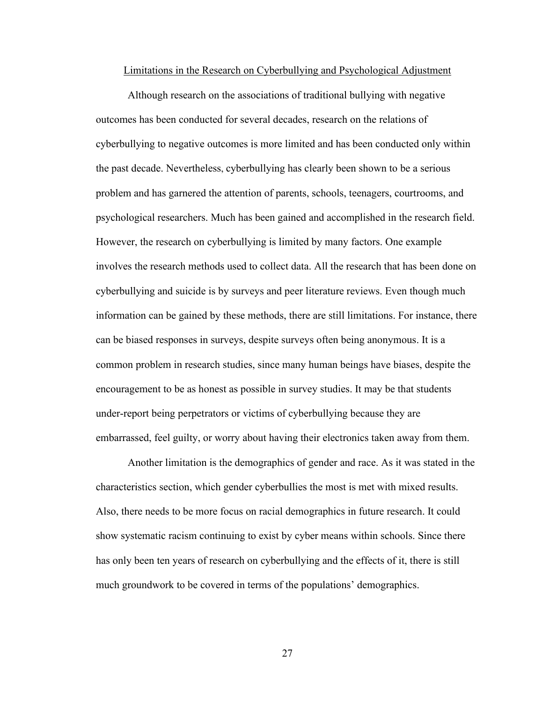#### Limitations in the Research on Cyberbullying and Psychological Adjustment

Although research on the associations of traditional bullying with negative outcomes has been conducted for several decades, research on the relations of cyberbullying to negative outcomes is more limited and has been conducted only within the past decade. Nevertheless, cyberbullying has clearly been shown to be a serious problem and has garnered the attention of parents, schools, teenagers, courtrooms, and psychological researchers. Much has been gained and accomplished in the research field. However, the research on cyberbullying is limited by many factors. One example involves the research methods used to collect data. All the research that has been done on cyberbullying and suicide is by surveys and peer literature reviews. Even though much information can be gained by these methods, there are still limitations. For instance, there can be biased responses in surveys, despite surveys often being anonymous. It is a common problem in research studies, since many human beings have biases, despite the encouragement to be as honest as possible in survey studies. It may be that students under-report being perpetrators or victims of cyberbullying because they are embarrassed, feel guilty, or worry about having their electronics taken away from them.

Another limitation is the demographics of gender and race. As it was stated in the characteristics section, which gender cyberbullies the most is met with mixed results. Also, there needs to be more focus on racial demographics in future research. It could show systematic racism continuing to exist by cyber means within schools. Since there has only been ten years of research on cyberbullying and the effects of it, there is still much groundwork to be covered in terms of the populations' demographics.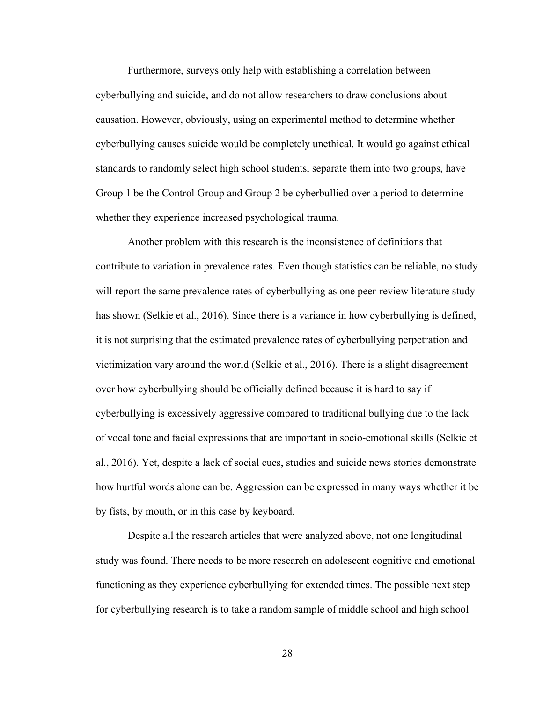Furthermore, surveys only help with establishing a correlation between cyberbullying and suicide, and do not allow researchers to draw conclusions about causation. However, obviously, using an experimental method to determine whether cyberbullying causes suicide would be completely unethical. It would go against ethical standards to randomly select high school students, separate them into two groups, have Group 1 be the Control Group and Group 2 be cyberbullied over a period to determine whether they experience increased psychological trauma.

Another problem with this research is the inconsistence of definitions that contribute to variation in prevalence rates. Even though statistics can be reliable, no study will report the same prevalence rates of cyberbullying as one peer-review literature study has shown (Selkie et al., 2016). Since there is a variance in how cyberbullying is defined, it is not surprising that the estimated prevalence rates of cyberbullying perpetration and victimization vary around the world (Selkie et al., 2016). There is a slight disagreement over how cyberbullying should be officially defined because it is hard to say if cyberbullying is excessively aggressive compared to traditional bullying due to the lack of vocal tone and facial expressions that are important in socio-emotional skills (Selkie et al., 2016). Yet, despite a lack of social cues, studies and suicide news stories demonstrate how hurtful words alone can be. Aggression can be expressed in many ways whether it be by fists, by mouth, or in this case by keyboard.

Despite all the research articles that were analyzed above, not one longitudinal study was found. There needs to be more research on adolescent cognitive and emotional functioning as they experience cyberbullying for extended times. The possible next step for cyberbullying research is to take a random sample of middle school and high school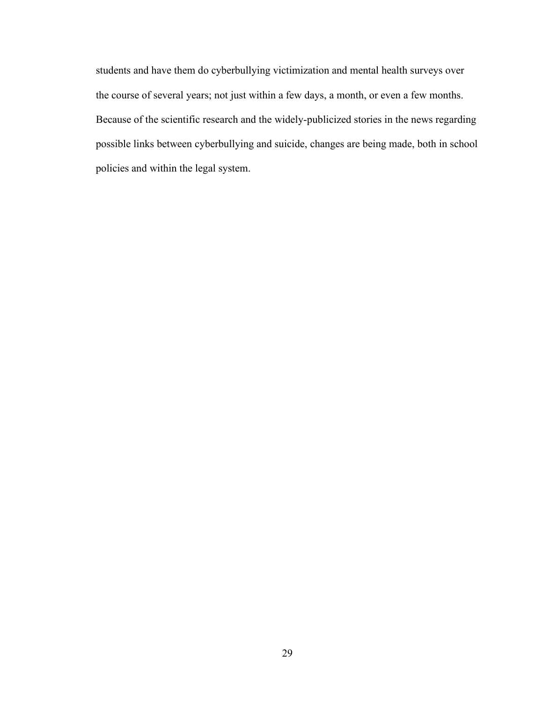students and have them do cyberbullying victimization and mental health surveys over the course of several years; not just within a few days, a month, or even a few months. Because of the scientific research and the widely-publicized stories in the news regarding possible links between cyberbullying and suicide, changes are being made, both in school policies and within the legal system.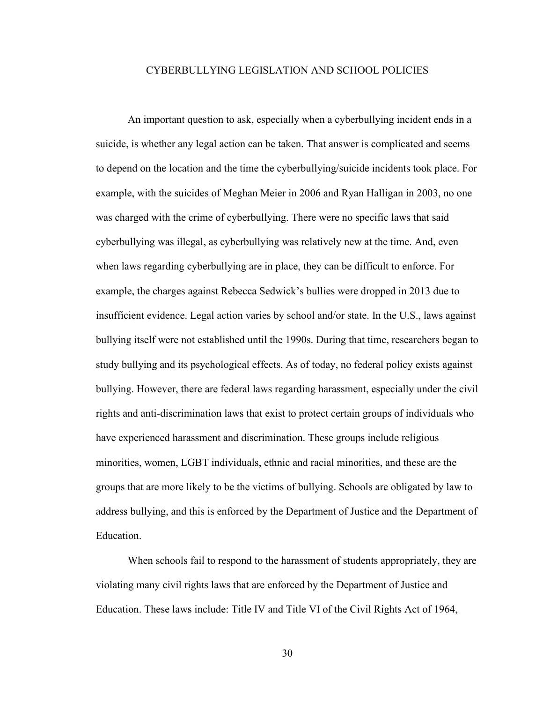### CYBERBULLYING LEGISLATION AND SCHOOL POLICIES

An important question to ask, especially when a cyberbullying incident ends in a suicide, is whether any legal action can be taken. That answer is complicated and seems to depend on the location and the time the cyberbullying/suicide incidents took place. For example, with the suicides of Meghan Meier in 2006 and Ryan Halligan in 2003, no one was charged with the crime of cyberbullying. There were no specific laws that said cyberbullying was illegal, as cyberbullying was relatively new at the time. And, even when laws regarding cyberbullying are in place, they can be difficult to enforce. For example, the charges against Rebecca Sedwick's bullies were dropped in 2013 due to insufficient evidence. Legal action varies by school and/or state. In the U.S., laws against bullying itself were not established until the 1990s. During that time, researchers began to study bullying and its psychological effects. As of today, no federal policy exists against bullying. However, there are federal laws regarding harassment, especially under the civil rights and anti-discrimination laws that exist to protect certain groups of individuals who have experienced harassment and discrimination. These groups include religious minorities, women, LGBT individuals, ethnic and racial minorities, and these are the groups that are more likely to be the victims of bullying. Schools are obligated by law to address bullying, and this is enforced by the Department of Justice and the Department of Education.

When schools fail to respond to the harassment of students appropriately, they are violating many civil rights laws that are enforced by the Department of Justice and Education. These laws include: Title IV and Title VI of the Civil Rights Act of 1964,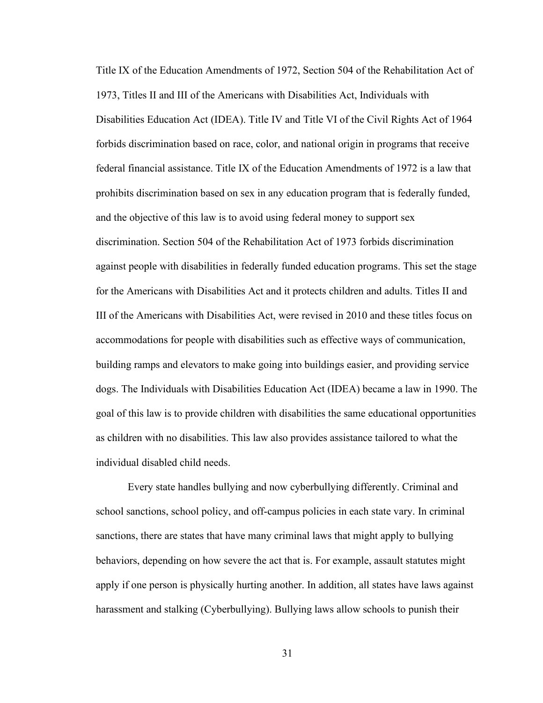Title IX of the Education Amendments of 1972, Section 504 of the Rehabilitation Act of 1973, Titles II and III of the Americans with Disabilities Act, Individuals with Disabilities Education Act (IDEA). Title IV and Title VI of the Civil Rights Act of 1964 forbids discrimination based on race, color, and national origin in programs that receive federal financial assistance. Title IX of the Education Amendments of 1972 is a law that prohibits discrimination based on sex in any education program that is federally funded, and the objective of this law is to avoid using federal money to support sex discrimination. Section 504 of the Rehabilitation Act of 1973 forbids discrimination against people with disabilities in federally funded education programs. This set the stage for the Americans with Disabilities Act and it protects children and adults. Titles II and III of the Americans with Disabilities Act, were revised in 2010 and these titles focus on accommodations for people with disabilities such as effective ways of communication, building ramps and elevators to make going into buildings easier, and providing service dogs. The Individuals with Disabilities Education Act (IDEA) became a law in 1990. The goal of this law is to provide children with disabilities the same educational opportunities as children with no disabilities. This law also provides assistance tailored to what the individual disabled child needs.

Every state handles bullying and now cyberbullying differently. Criminal and school sanctions, school policy, and off-campus policies in each state vary. In criminal sanctions, there are states that have many criminal laws that might apply to bullying behaviors, depending on how severe the act that is. For example, assault statutes might apply if one person is physically hurting another. In addition, all states have laws against harassment and stalking (Cyberbullying). Bullying laws allow schools to punish their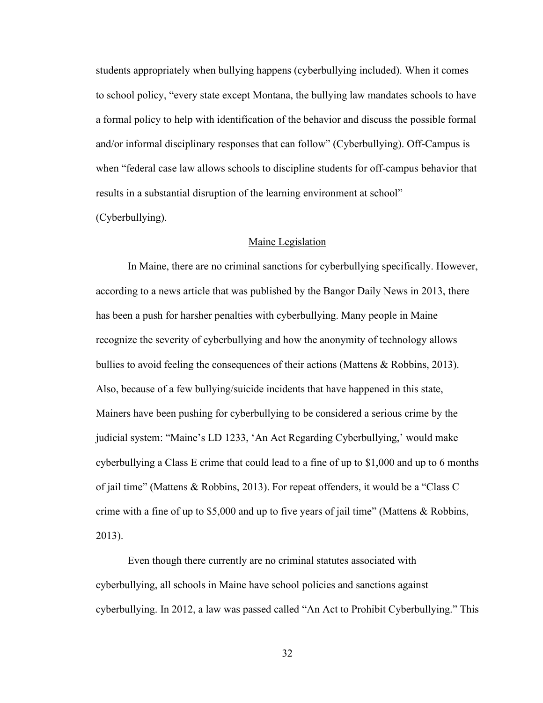students appropriately when bullying happens (cyberbullying included). When it comes to school policy, "every state except Montana, the bullying law mandates schools to have a formal policy to help with identification of the behavior and discuss the possible formal and/or informal disciplinary responses that can follow" (Cyberbullying). Off-Campus is when "federal case law allows schools to discipline students for off-campus behavior that results in a substantial disruption of the learning environment at school"

(Cyberbullying).

### Maine Legislation

In Maine, there are no criminal sanctions for cyberbullying specifically. However, according to a news article that was published by the Bangor Daily News in 2013, there has been a push for harsher penalties with cyberbullying. Many people in Maine recognize the severity of cyberbullying and how the anonymity of technology allows bullies to avoid feeling the consequences of their actions (Mattens & Robbins, 2013). Also, because of a few bullying/suicide incidents that have happened in this state, Mainers have been pushing for cyberbullying to be considered a serious crime by the judicial system: "Maine's LD 1233, 'An Act Regarding Cyberbullying,' would make cyberbullying a Class E crime that could lead to a fine of up to \$1,000 and up to 6 months of jail time" (Mattens & Robbins, 2013). For repeat offenders, it would be a "Class C crime with a fine of up to \$5,000 and up to five years of jail time" (Mattens & Robbins, 2013).

Even though there currently are no criminal statutes associated with cyberbullying, all schools in Maine have school policies and sanctions against cyberbullying. In 2012, a law was passed called "An Act to Prohibit Cyberbullying." This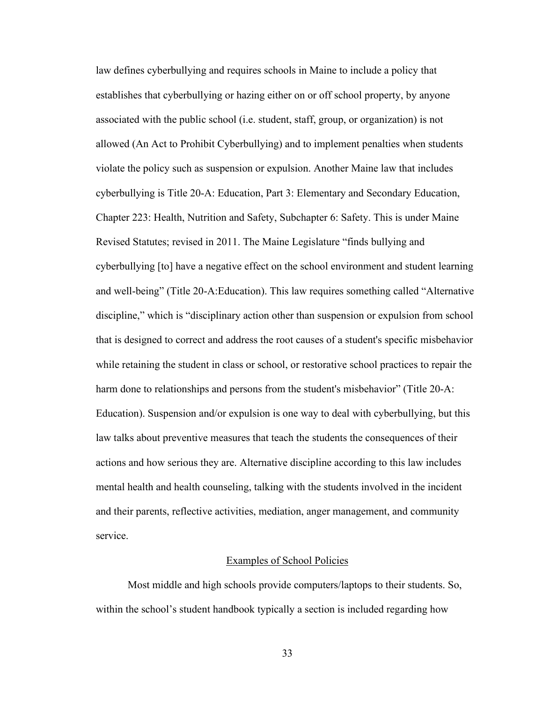law defines cyberbullying and requires schools in Maine to include a policy that establishes that cyberbullying or hazing either on or off school property, by anyone associated with the public school (i.e. student, staff, group, or organization) is not allowed (An Act to Prohibit Cyberbullying) and to implement penalties when students violate the policy such as suspension or expulsion. Another Maine law that includes cyberbullying is Title 20-A: Education, Part 3: Elementary and Secondary Education, Chapter 223: Health, Nutrition and Safety, Subchapter 6: Safety. This is under Maine Revised Statutes; revised in 2011. The Maine Legislature "finds bullying and cyberbullying [to] have a negative effect on the school environment and student learning and well-being" (Title 20-A:Education). This law requires something called "Alternative discipline," which is "disciplinary action other than suspension or expulsion from school that is designed to correct and address the root causes of a student's specific misbehavior while retaining the student in class or school, or restorative school practices to repair the harm done to relationships and persons from the student's misbehavior" (Title 20-A: Education). Suspension and/or expulsion is one way to deal with cyberbullying, but this law talks about preventive measures that teach the students the consequences of their actions and how serious they are. Alternative discipline according to this law includes mental health and health counseling, talking with the students involved in the incident and their parents, reflective activities, mediation, anger management, and community service.

#### Examples of School Policies

Most middle and high schools provide computers/laptops to their students. So, within the school's student handbook typically a section is included regarding how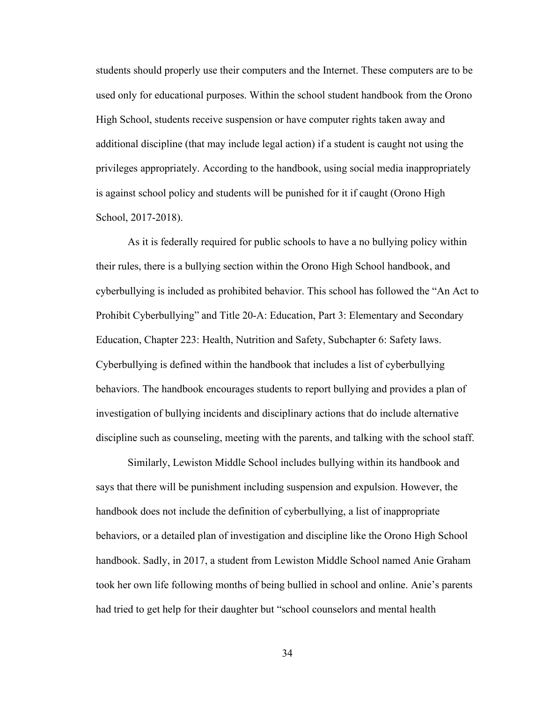students should properly use their computers and the Internet. These computers are to be used only for educational purposes. Within the school student handbook from the Orono High School, students receive suspension or have computer rights taken away and additional discipline (that may include legal action) if a student is caught not using the privileges appropriately. According to the handbook, using social media inappropriately is against school policy and students will be punished for it if caught (Orono High School, 2017-2018).

As it is federally required for public schools to have a no bullying policy within their rules, there is a bullying section within the Orono High School handbook, and cyberbullying is included as prohibited behavior. This school has followed the "An Act to Prohibit Cyberbullying" and Title 20-A: Education, Part 3: Elementary and Secondary Education, Chapter 223: Health, Nutrition and Safety, Subchapter 6: Safety laws. Cyberbullying is defined within the handbook that includes a list of cyberbullying behaviors. The handbook encourages students to report bullying and provides a plan of investigation of bullying incidents and disciplinary actions that do include alternative discipline such as counseling, meeting with the parents, and talking with the school staff.

Similarly, Lewiston Middle School includes bullying within its handbook and says that there will be punishment including suspension and expulsion. However, the handbook does not include the definition of cyberbullying, a list of inappropriate behaviors, or a detailed plan of investigation and discipline like the Orono High School handbook. Sadly, in 2017, a student from Lewiston Middle School named Anie Graham took her own life following months of being bullied in school and online. Anie's parents had tried to get help for their daughter but "school counselors and mental health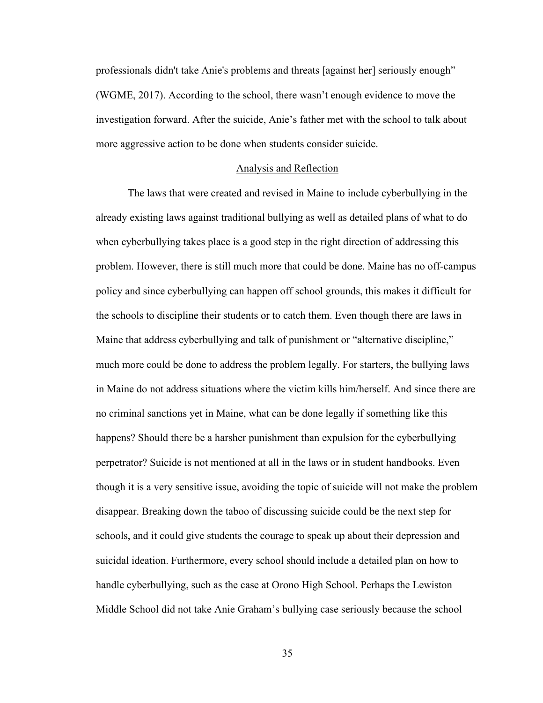professionals didn't take Anie's problems and threats [against her] seriously enough" (WGME, 2017). According to the school, there wasn't enough evidence to move the investigation forward. After the suicide, Anie's father met with the school to talk about more aggressive action to be done when students consider suicide.

#### Analysis and Reflection

The laws that were created and revised in Maine to include cyberbullying in the already existing laws against traditional bullying as well as detailed plans of what to do when cyberbullying takes place is a good step in the right direction of addressing this problem. However, there is still much more that could be done. Maine has no off-campus policy and since cyberbullying can happen off school grounds, this makes it difficult for the schools to discipline their students or to catch them. Even though there are laws in Maine that address cyberbullying and talk of punishment or "alternative discipline," much more could be done to address the problem legally. For starters, the bullying laws in Maine do not address situations where the victim kills him/herself. And since there are no criminal sanctions yet in Maine, what can be done legally if something like this happens? Should there be a harsher punishment than expulsion for the cyberbullying perpetrator? Suicide is not mentioned at all in the laws or in student handbooks. Even though it is a very sensitive issue, avoiding the topic of suicide will not make the problem disappear. Breaking down the taboo of discussing suicide could be the next step for schools, and it could give students the courage to speak up about their depression and suicidal ideation. Furthermore, every school should include a detailed plan on how to handle cyberbullying, such as the case at Orono High School. Perhaps the Lewiston Middle School did not take Anie Graham's bullying case seriously because the school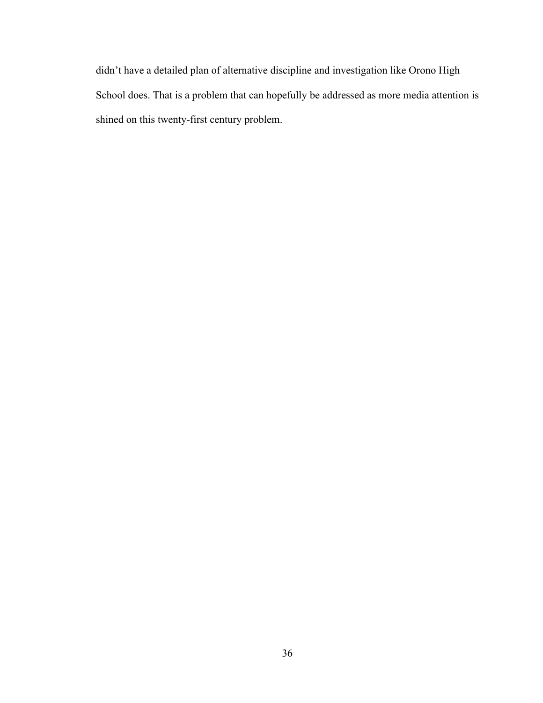didn't have a detailed plan of alternative discipline and investigation like Orono High School does. That is a problem that can hopefully be addressed as more media attention is shined on this twenty-first century problem.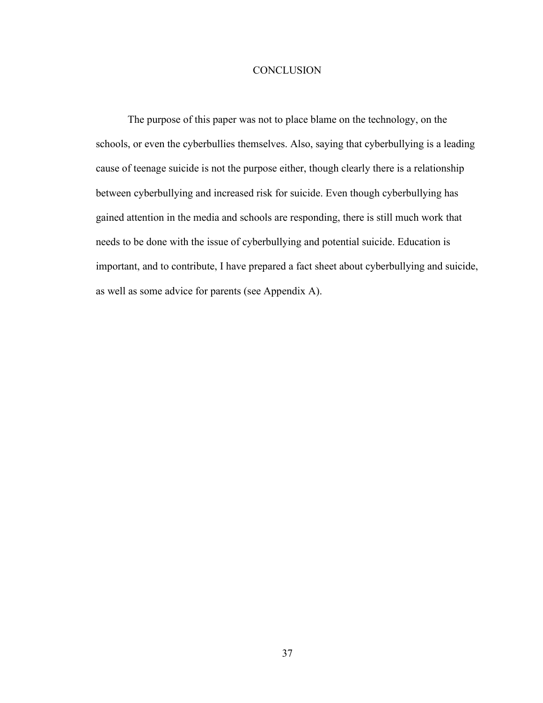# **CONCLUSION**

The purpose of this paper was not to place blame on the technology, on the schools, or even the cyberbullies themselves. Also, saying that cyberbullying is a leading cause of teenage suicide is not the purpose either, though clearly there is a relationship between cyberbullying and increased risk for suicide. Even though cyberbullying has gained attention in the media and schools are responding, there is still much work that needs to be done with the issue of cyberbullying and potential suicide. Education is important, and to contribute, I have prepared a fact sheet about cyberbullying and suicide, as well as some advice for parents (see Appendix A).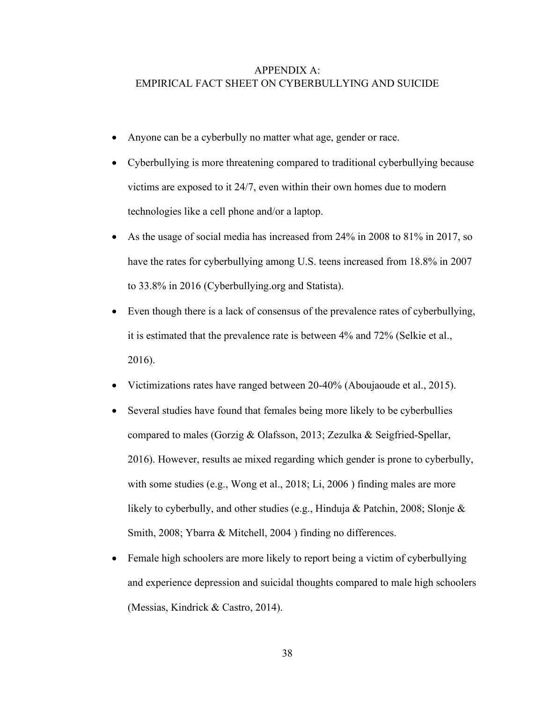# APPENDIX A: EMPIRICAL FACT SHEET ON CYBERBULLYING AND SUICIDE

- Anyone can be a cyberbully no matter what age, gender or race.
- Cyberbullying is more threatening compared to traditional cyberbullying because victims are exposed to it 24/7, even within their own homes due to modern technologies like a cell phone and/or a laptop.
- As the usage of social media has increased from 24% in 2008 to 81% in 2017, so have the rates for cyberbullying among U.S. teens increased from 18.8% in 2007 to 33.8% in 2016 (Cyberbullying.org and Statista).
- Even though there is a lack of consensus of the prevalence rates of cyberbullying, it is estimated that the prevalence rate is between 4% and 72% (Selkie et al., 2016).
- Victimizations rates have ranged between 20-40% (Aboujaoude et al., 2015).
- Several studies have found that females being more likely to be cyberbullies compared to males (Gorzig & Olafsson, 2013; Zezulka & Seigfried-Spellar, 2016). However, results ae mixed regarding which gender is prone to cyberbully, with some studies (e.g., Wong et al., 2018; Li, 2006) finding males are more likely to cyberbully, and other studies (e.g., Hinduja & Patchin, 2008; Slonje & Smith, 2008; Ybarra & Mitchell, 2004 ) finding no differences.
- Female high schoolers are more likely to report being a victim of cyberbullying and experience depression and suicidal thoughts compared to male high schoolers (Messias, Kindrick & Castro, 2014).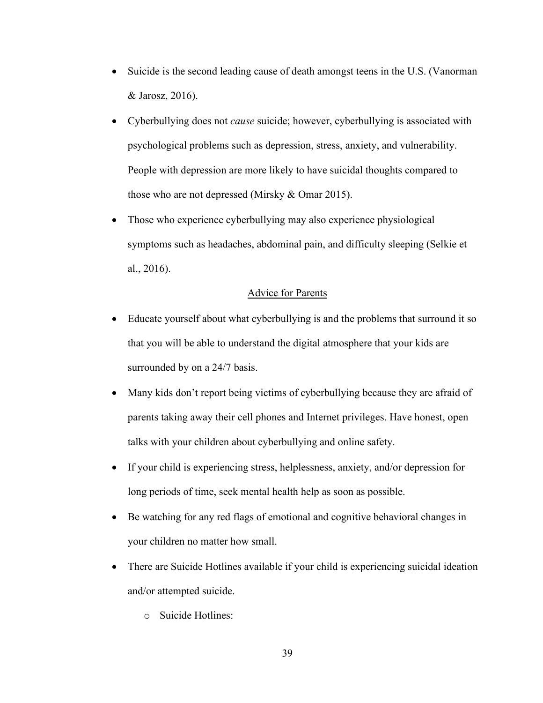- Suicide is the second leading cause of death amongst teens in the U.S. (Vanorman & Jarosz, 2016).
- Cyberbullying does not *cause* suicide; however, cyberbullying is associated with psychological problems such as depression, stress, anxiety, and vulnerability. People with depression are more likely to have suicidal thoughts compared to those who are not depressed (Mirsky & Omar 2015).
- Those who experience cyberbullying may also experience physiological symptoms such as headaches, abdominal pain, and difficulty sleeping (Selkie et al., 2016).

# Advice for Parents

- Educate yourself about what cyberbullying is and the problems that surround it so that you will be able to understand the digital atmosphere that your kids are surrounded by on a 24/7 basis.
- Many kids don't report being victims of cyberbullying because they are afraid of parents taking away their cell phones and Internet privileges. Have honest, open talks with your children about cyberbullying and online safety.
- If your child is experiencing stress, helplessness, anxiety, and/or depression for long periods of time, seek mental health help as soon as possible.
- Be watching for any red flags of emotional and cognitive behavioral changes in your children no matter how small.
- There are Suicide Hotlines available if your child is experiencing suicidal ideation and/or attempted suicide.
	- o Suicide Hotlines: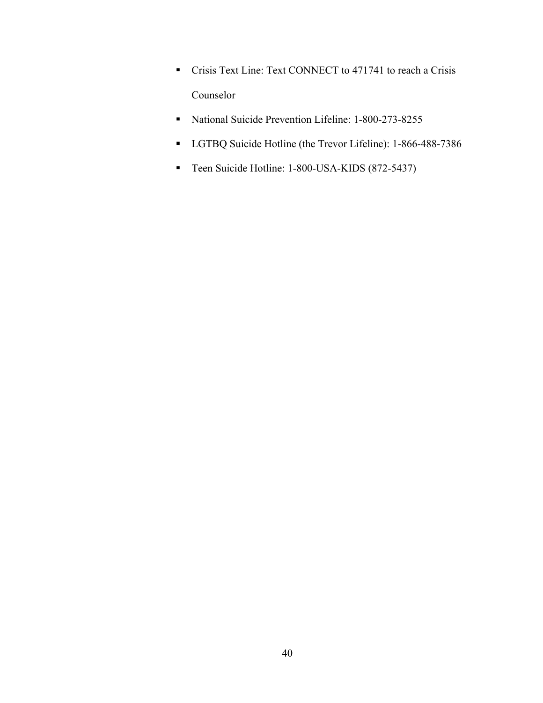- Crisis Text Line: Text CONNECT to 471741 to reach a Crisis Counselor
- National Suicide Prevention Lifeline: 1-800-273-8255
- § LGTBQ Suicide Hotline (the Trevor Lifeline): 1-866-488-7386
- Teen Suicide Hotline: 1-800-USA-KIDS (872-5437)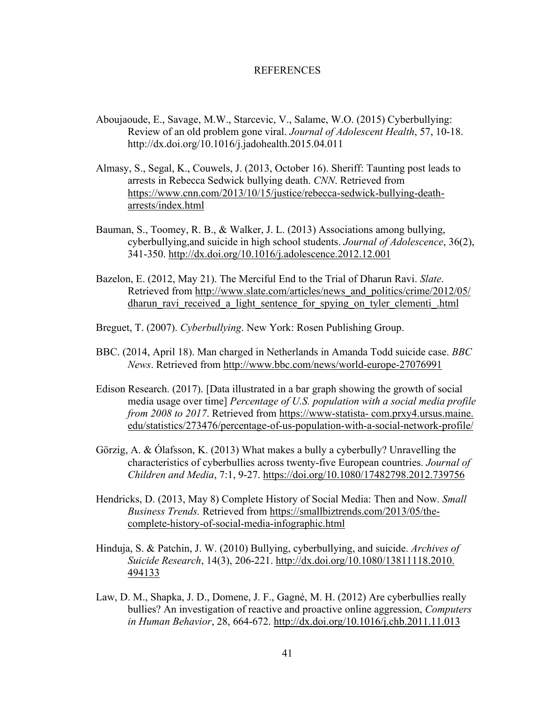#### REFERENCES

- Aboujaoude, E., Savage, M.W., Starcevic, V., Salame, W.O. (2015) Cyberbullying: Review of an old problem gone viral. *Journal of Adolescent Health*, 57, 10-18. http://dx.doi.org/10.1016/j.jadohealth.2015.04.011
- Almasy, S., Segal, K., Couwels, J. (2013, October 16). Sheriff: Taunting post leads to arrests in Rebecca Sedwick bullying death. *CNN*. Retrieved from https://www.cnn.com/2013/10/15/justice/rebecca-sedwick-bullying-deatharrests/index.html
- Bauman, S., Toomey, R. B., & Walker, J. L. (2013) Associations among bullying, cyberbullying,and suicide in high school students. *Journal of Adolescence*, 36(2), 341-350. http://dx.doi.org/10.1016/j.adolescence.2012.12.001
- Bazelon, E. (2012, May 21). The Merciful End to the Trial of Dharun Ravi. *Slate*. Retrieved from http://www.slate.com/articles/news\_and\_politics/crime/2012/05/ dharun ravi received a light sentence for spying on tyler clementi .html
- Breguet, T. (2007). *Cyberbullying*. New York: Rosen Publishing Group.
- BBC. (2014, April 18). Man charged in Netherlands in Amanda Todd suicide case. *BBC News*. Retrieved from http://www.bbc.com/news/world-europe-27076991
- Edison Research. (2017). [Data illustrated in a bar graph showing the growth of social media usage over time] *Percentage of U.S. population with a social media profile from 2008 to 2017*. Retrieved from https://www-statista- com.prxy4.ursus.maine. edu/statistics/273476/percentage-of-us-population-with-a-social-network-profile/
- Görzig, A. & Ólafsson, K. (2013) What makes a bully a cyberbully? Unravelling the characteristics of cyberbullies across twenty-five European countries. *Journal of Children and Media*, 7:1, 9-27. https://doi.org/10.1080/17482798.2012.739756
- Hendricks, D. (2013, May 8) Complete History of Social Media: Then and Now. *Small Business Trends.* Retrieved from https://smallbiztrends.com/2013/05/thecomplete-history-of-social-media-infographic.html
- Hinduja, S. & Patchin, J. W. (2010) Bullying, cyberbullying, and suicide. *Archives of Suicide Research*, 14(3), 206-221. http://dx.doi.org/10.1080/13811118.2010. 494133
- Law, D. M., Shapka, J. D., Domene, J. F., Gagné, M. H. (2012) Are cyberbullies really bullies? An investigation of reactive and proactive online aggression, *Computers in Human Behavior*, 28, 664-672. http://dx.doi.org/10.1016/j.chb.2011.11.013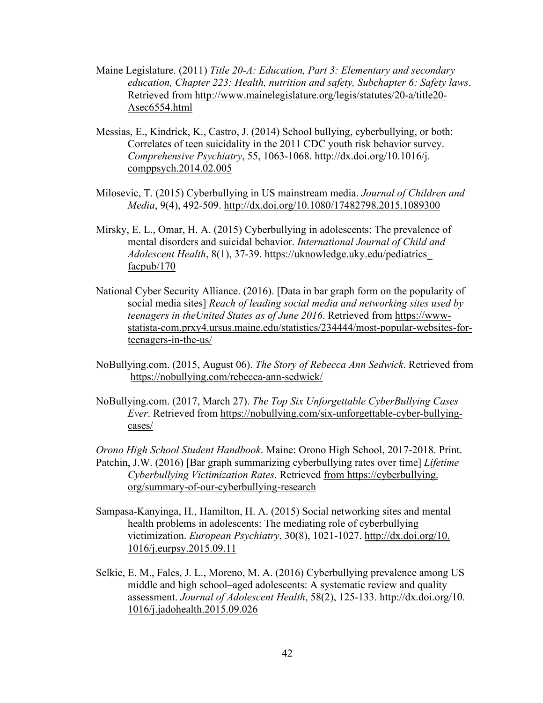- Maine Legislature. (2011) *Title 20-A: Education, Part 3: Elementary and secondary education, Chapter 223: Health, nutrition and safety, Subchapter 6: Safety laws*. Retrieved from http://www.mainelegislature.org/legis/statutes/20-a/title20- Asec6554.html
- Messias, E., Kindrick, K., Castro, J. (2014) School bullying, cyberbullying, or both: Correlates of teen suicidality in the 2011 CDC youth risk behavior survey. *Comprehensive Psychiatry*, 55, 1063-1068. http://dx.doi.org/10.1016/j. comppsych.2014.02.005
- Milosevic, T. (2015) Cyberbullying in US mainstream media. *Journal of Children and Media*, 9(4), 492-509. http://dx.doi.org/10.1080/17482798.2015.1089300
- Mirsky, E. L., Omar, H. A. (2015) Cyberbullying in adolescents: The prevalence of mental disorders and suicidal behavior. *International Journal of Child and Adolescent Health*, 8(1), 37-39. https://uknowledge.uky.edu/pediatrics\_ facpub/170
- National Cyber Security Alliance. (2016). [Data in bar graph form on the popularity of social media sites] *Reach of leading social media and networking sites used by teenagers in theUnited States as of June 2016*. Retrieved from https://wwwstatista-com.prxy4.ursus.maine.edu/statistics/234444/most-popular-websites-forteenagers-in-the-us/
- NoBullying.com. (2015, August 06). *The Story of Rebecca Ann Sedwick*. Retrieved from https://nobullying.com/rebecca-ann-sedwick/
- NoBullying.com. (2017, March 27). *The Top Six Unforgettable CyberBullying Cases Ever*. Retrieved from https://nobullying.com/six-unforgettable-cyber-bullyingcases/

*Orono High School Student Handbook*. Maine: Orono High School, 2017-2018. Print. Patchin, J.W. (2016) [Bar graph summarizing cyberbullying rates over time] *Lifetime Cyberbullying Victimization Rates*. Retrieved from https://cyberbullying. org/summary-of-our-cyberbullying-research

- Sampasa-Kanyinga, H., Hamilton, H. A. (2015) Social networking sites and mental health problems in adolescents: The mediating role of cyberbullying victimization. *European Psychiatry*, 30(8), 1021-1027. http://dx.doi.org/10. 1016/j.eurpsy.2015.09.11
- Selkie, E. M., Fales, J. L., Moreno, M. A. (2016) Cyberbullying prevalence among US middle and high school–aged adolescents: A systematic review and quality assessment. *Journal of Adolescent Health*, 58(2), 125-133. http://dx.doi.org/10. 1016/j.jadohealth.2015.09.026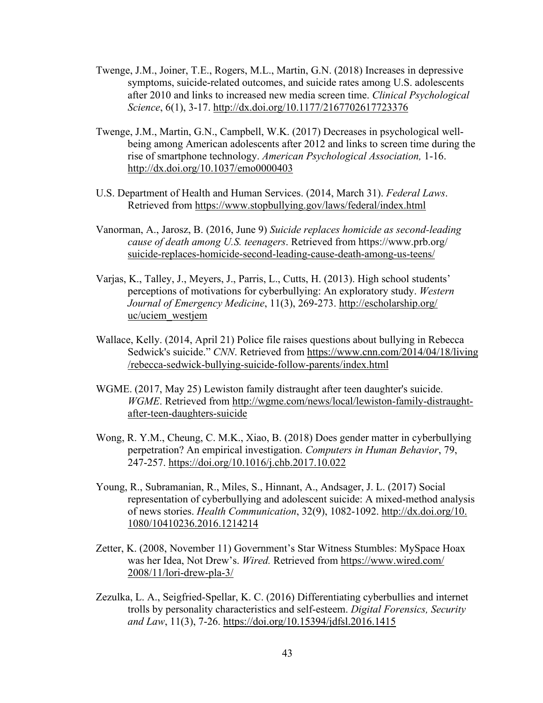- Twenge, J.M., Joiner, T.E., Rogers, M.L., Martin, G.N. (2018) Increases in depressive symptoms, suicide-related outcomes, and suicide rates among U.S. adolescents after 2010 and links to increased new media screen time. *Clinical Psychological Science*, 6(1), 3-17. http://dx.doi.org/10.1177/2167702617723376
- Twenge, J.M., Martin, G.N., Campbell, W.K. (2017) Decreases in psychological wellbeing among American adolescents after 2012 and links to screen time during the rise of smartphone technology. *American Psychological Association,* 1-16. http://dx.doi.org/10.1037/emo0000403
- U.S. Department of Health and Human Services. (2014, March 31). *Federal Laws*. Retrieved from https://www.stopbullying.gov/laws/federal/index.html
- Vanorman, A., Jarosz, B. (2016, June 9) *Suicide replaces homicide as second-leading cause of death among U.S. teenagers*. Retrieved from https://www.prb.org/ suicide-replaces-homicide-second-leading-cause-death-among-us-teens/
- Varjas, K., Talley, J., Meyers, J., Parris, L., Cutts, H. (2013). High school students' perceptions of motivations for cyberbullying: An exploratory study. *Western Journal of Emergency Medicine*, 11(3), 269-273. http://escholarship.org/ uc/uciem\_westjem
- Wallace, Kelly. (2014, April 21) Police file raises questions about bullying in Rebecca Sedwick's suicide." *CNN*. Retrieved from https://www.cnn.com/2014/04/18/living /rebecca-sedwick-bullying-suicide-follow-parents/index.html
- WGME. (2017, May 25) Lewiston family distraught after teen daughter's suicide. *WGME*. Retrieved from http://wgme.com/news/local/lewiston-family-distraughtafter-teen-daughters-suicide
- Wong, R. Y.M., Cheung, C. M.K., Xiao, B. (2018) Does gender matter in cyberbullying perpetration? An empirical investigation. *Computers in Human Behavior*, 79, 247-257. https://doi.org/10.1016/j.chb.2017.10.022
- Young, R., Subramanian, R., Miles, S., Hinnant, A., Andsager, J. L. (2017) Social representation of cyberbullying and adolescent suicide: A mixed-method analysis of news stories. *Health Communication*, 32(9), 1082-1092. http://dx.doi.org/10. 1080/10410236.2016.1214214
- Zetter, K. (2008, November 11) Government's Star Witness Stumbles: MySpace Hoax was her Idea, Not Drew's. *Wired.* Retrieved from https://www.wired.com/ 2008/11/lori-drew-pla-3/
- Zezulka, L. A., Seigfried-Spellar, K. C. (2016) Differentiating cyberbullies and internet trolls by personality characteristics and self-esteem. *Digital Forensics, Security and Law*, 11(3), 7-26. https://doi.org/10.15394/jdfsl.2016.1415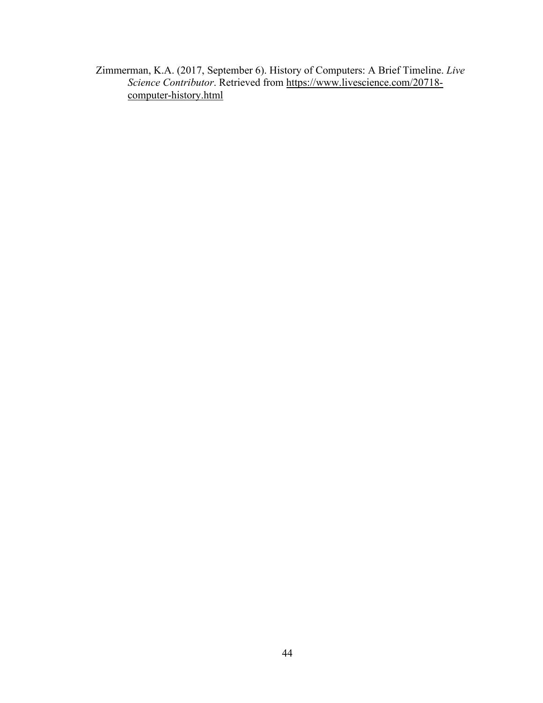Zimmerman, K.A. (2017, September 6). History of Computers: A Brief Timeline. *Live Science Contributor*. Retrieved from https://www.livescience.com/20718 computer-history.html